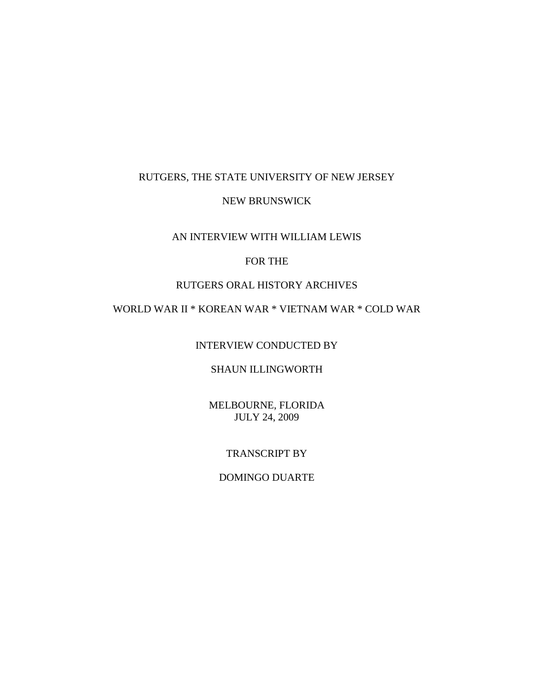## RUTGERS, THE STATE UNIVERSITY OF NEW JERSEY

### NEW BRUNSWICK

### AN INTERVIEW WITH WILLIAM LEWIS

## FOR THE

## RUTGERS ORAL HISTORY ARCHIVES

# WORLD WAR II \* KOREAN WAR \* VIETNAM WAR \* COLD WAR

INTERVIEW CONDUCTED BY

## SHAUN ILLINGWORTH

MELBOURNE, FLORIDA JULY 24, 2009

### TRANSCRIPT BY

## DOMINGO DUARTE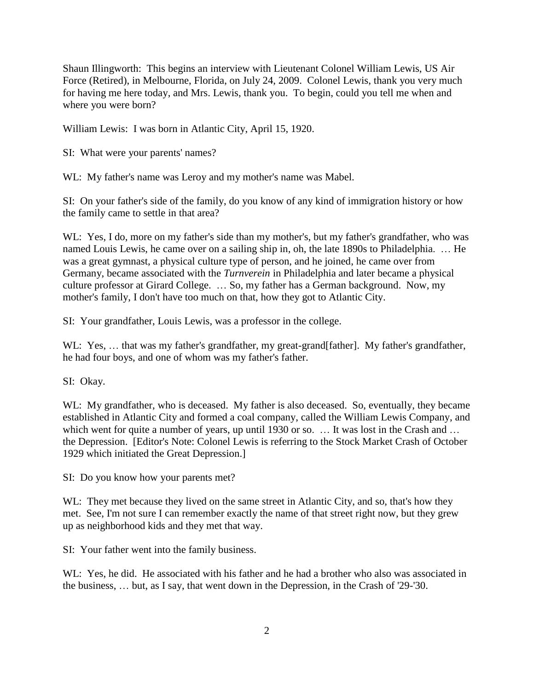Shaun Illingworth: This begins an interview with Lieutenant Colonel William Lewis, US Air Force (Retired), in Melbourne, Florida, on July 24, 2009. Colonel Lewis, thank you very much for having me here today, and Mrs. Lewis, thank you. To begin, could you tell me when and where you were born?

William Lewis: I was born in Atlantic City, April 15, 1920.

SI: What were your parents' names?

WL: My father's name was Leroy and my mother's name was Mabel.

SI: On your father's side of the family, do you know of any kind of immigration history or how the family came to settle in that area?

WL: Yes, I do, more on my father's side than my mother's, but my father's grandfather, who was named Louis Lewis, he came over on a sailing ship in, oh, the late 1890s to Philadelphia. … He was a great gymnast, a physical culture type of person, and he joined, he came over from Germany, became associated with the *Turnverein* in Philadelphia and later became a physical culture professor at Girard College. … So, my father has a German background. Now, my mother's family, I don't have too much on that, how they got to Atlantic City.

SI: Your grandfather, Louis Lewis, was a professor in the college.

WL: Yes, ... that was my father's grandfather, my great-grand[father]. My father's grandfather, he had four boys, and one of whom was my father's father.

SI: Okay.

WL: My grandfather, who is deceased. My father is also deceased. So, eventually, they became established in Atlantic City and formed a coal company, called the William Lewis Company, and which went for quite a number of years, up until 1930 or so. ... It was lost in the Crash and ... the Depression. [Editor's Note: Colonel Lewis is referring to the Stock Market Crash of October 1929 which initiated the Great Depression.]

SI: Do you know how your parents met?

WL: They met because they lived on the same street in Atlantic City, and so, that's how they met. See, I'm not sure I can remember exactly the name of that street right now, but they grew up as neighborhood kids and they met that way.

SI: Your father went into the family business.

WL: Yes, he did. He associated with his father and he had a brother who also was associated in the business, … but, as I say, that went down in the Depression, in the Crash of '29-'30.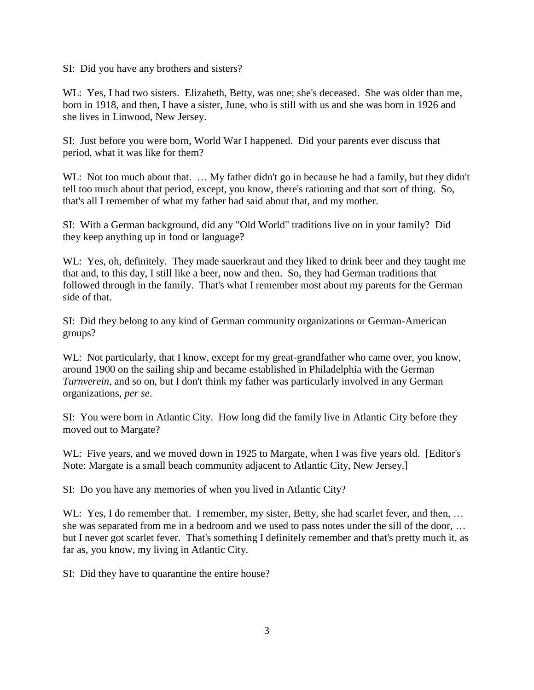SI: Did you have any brothers and sisters?

WL: Yes, I had two sisters. Elizabeth, Betty, was one; she's deceased. She was older than me, born in 1918, and then, I have a sister, June, who is still with us and she was born in 1926 and she lives in Linwood, New Jersey.

SI: Just before you were born, World War I happened. Did your parents ever discuss that period, what it was like for them?

WL: Not too much about that. ... My father didn't go in because he had a family, but they didn't tell too much about that period, except, you know, there's rationing and that sort of thing. So, that's all I remember of what my father had said about that, and my mother.

SI: With a German background, did any "Old World" traditions live on in your family? Did they keep anything up in food or language?

WL: Yes, oh, definitely. They made sauerkraut and they liked to drink beer and they taught me that and, to this day, I still like a beer, now and then. So, they had German traditions that followed through in the family. That's what I remember most about my parents for the German side of that.

SI: Did they belong to any kind of German community organizations or German-American groups?

WL: Not particularly, that I know, except for my great-grandfather who came over, you know, around 1900 on the sailing ship and became established in Philadelphia with the German *Turnverein*, and so on, but I don't think my father was particularly involved in any German organizations, *per se*.

SI: You were born in Atlantic City. How long did the family live in Atlantic City before they moved out to Margate?

WL: Five years, and we moved down in 1925 to Margate, when I was five years old. [Editor's Note: Margate is a small beach community adjacent to Atlantic City, New Jersey.]

SI: Do you have any memories of when you lived in Atlantic City?

WL: Yes, I do remember that. I remember, my sister, Betty, she had scarlet fever, and then, ... she was separated from me in a bedroom and we used to pass notes under the sill of the door, … but I never got scarlet fever. That's something I definitely remember and that's pretty much it, as far as, you know, my living in Atlantic City.

SI: Did they have to quarantine the entire house?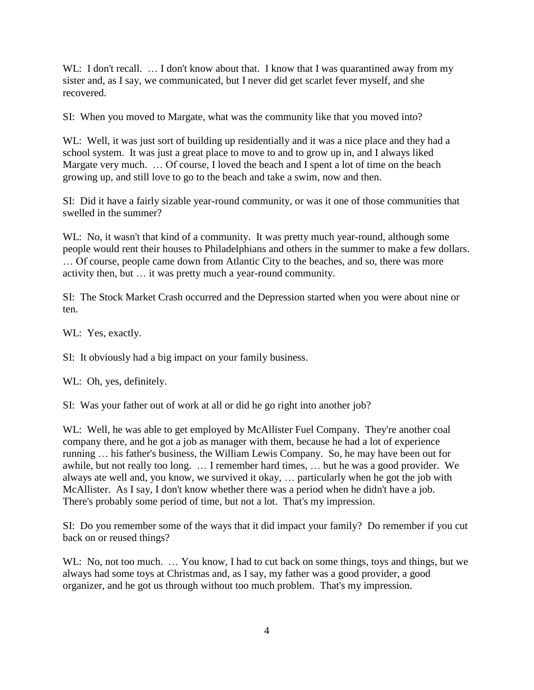WL: I don't recall. ... I don't know about that. I know that I was quarantined away from my sister and, as I say, we communicated, but I never did get scarlet fever myself, and she recovered.

SI: When you moved to Margate, what was the community like that you moved into?

WL: Well, it was just sort of building up residentially and it was a nice place and they had a school system. It was just a great place to move to and to grow up in, and I always liked Margate very much. ... Of course, I loved the beach and I spent a lot of time on the beach growing up, and still love to go to the beach and take a swim, now and then.

SI: Did it have a fairly sizable year-round community, or was it one of those communities that swelled in the summer?

WL: No, it wasn't that kind of a community. It was pretty much year-round, although some people would rent their houses to Philadelphians and others in the summer to make a few dollars. … Of course, people came down from Atlantic City to the beaches, and so, there was more activity then, but … it was pretty much a year-round community.

SI: The Stock Market Crash occurred and the Depression started when you were about nine or ten.

WL: Yes, exactly.

SI: It obviously had a big impact on your family business.

WL: Oh, yes, definitely.

SI: Was your father out of work at all or did he go right into another job?

WL: Well, he was able to get employed by McAllister Fuel Company. They're another coal company there, and he got a job as manager with them, because he had a lot of experience running … his father's business, the William Lewis Company. So, he may have been out for awhile, but not really too long. … I remember hard times, … but he was a good provider. We always ate well and, you know, we survived it okay, … particularly when he got the job with McAllister. As I say, I don't know whether there was a period when he didn't have a job. There's probably some period of time, but not a lot. That's my impression.

SI: Do you remember some of the ways that it did impact your family? Do remember if you cut back on or reused things?

WL: No, not too much. ... You know, I had to cut back on some things, toys and things, but we always had some toys at Christmas and, as I say, my father was a good provider, a good organizer, and he got us through without too much problem. That's my impression.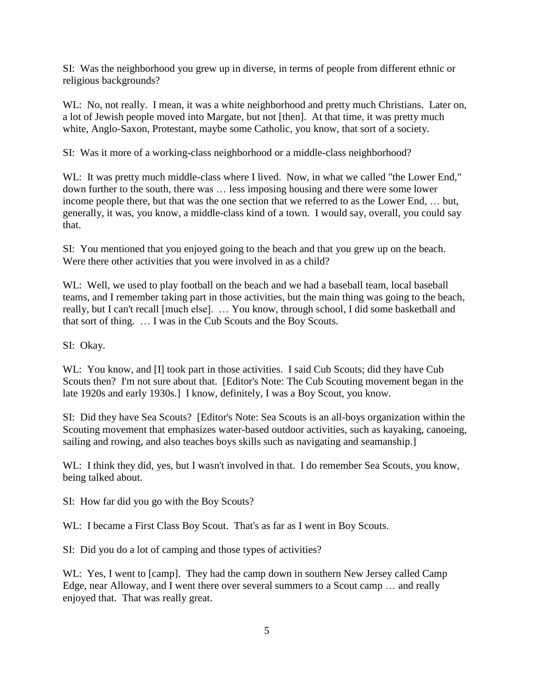SI: Was the neighborhood you grew up in diverse, in terms of people from different ethnic or religious backgrounds?

WL: No, not really. I mean, it was a white neighborhood and pretty much Christians. Later on, a lot of Jewish people moved into Margate, but not [then]. At that time, it was pretty much white, Anglo-Saxon, Protestant, maybe some Catholic, you know, that sort of a society.

SI: Was it more of a working-class neighborhood or a middle-class neighborhood?

WL: It was pretty much middle-class where I lived. Now, in what we called "the Lower End," down further to the south, there was … less imposing housing and there were some lower income people there, but that was the one section that we referred to as the Lower End, … but, generally, it was, you know, a middle-class kind of a town. I would say, overall, you could say that.

SI: You mentioned that you enjoyed going to the beach and that you grew up on the beach. Were there other activities that you were involved in as a child?

WL: Well, we used to play football on the beach and we had a baseball team, local baseball teams, and I remember taking part in those activities, but the main thing was going to the beach, really, but I can't recall [much else]. … You know, through school, I did some basketball and that sort of thing. … I was in the Cub Scouts and the Boy Scouts.

SI: Okay.

WL: You know, and [I] took part in those activities. I said Cub Scouts; did they have Cub Scouts then? I'm not sure about that. [Editor's Note: The Cub Scouting movement began in the late 1920s and early 1930s.] I know, definitely, I was a Boy Scout, you know.

SI: Did they have Sea Scouts? [Editor's Note: Sea Scouts is an all-boys organization within the Scouting movement that emphasizes water-based outdoor activities, such as kayaking, canoeing, sailing and rowing, and also teaches boys skills such as navigating and seamanship.]

WL: I think they did, yes, but I wasn't involved in that. I do remember Sea Scouts, you know, being talked about.

SI: How far did you go with the Boy Scouts?

WL: I became a First Class Boy Scout. That's as far as I went in Boy Scouts.

SI: Did you do a lot of camping and those types of activities?

WL: Yes, I went to [camp]. They had the camp down in southern New Jersey called Camp Edge, near Alloway, and I went there over several summers to a Scout camp … and really enjoyed that. That was really great.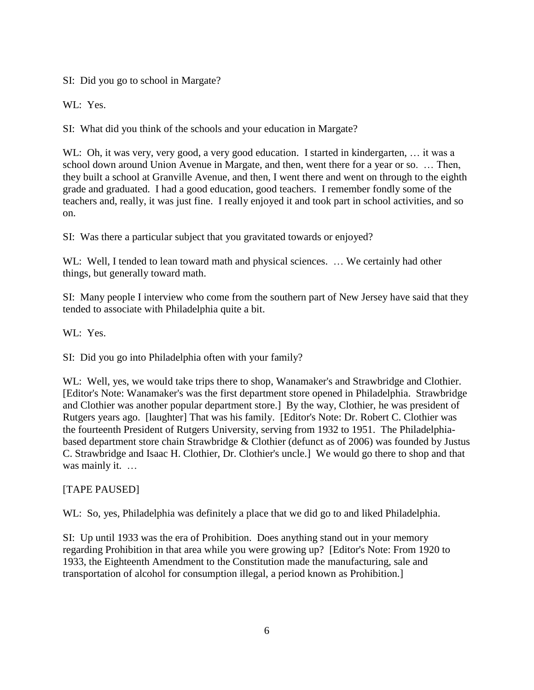SI: Did you go to school in Margate?

WL: Yes.

SI: What did you think of the schools and your education in Margate?

WL: Oh, it was very, very good, a very good education. I started in kindergarten, ... it was a school down around Union Avenue in Margate, and then, went there for a year or so. … Then, they built a school at Granville Avenue, and then, I went there and went on through to the eighth grade and graduated. I had a good education, good teachers. I remember fondly some of the teachers and, really, it was just fine. I really enjoyed it and took part in school activities, and so on.

SI: Was there a particular subject that you gravitated towards or enjoyed?

WL: Well, I tended to lean toward math and physical sciences. ... We certainly had other things, but generally toward math.

SI: Many people I interview who come from the southern part of New Jersey have said that they tended to associate with Philadelphia quite a bit.

WL: Yes.

SI: Did you go into Philadelphia often with your family?

WL: Well, yes, we would take trips there to shop, Wanamaker's and Strawbridge and Clothier. [Editor's Note: Wanamaker's was the first department store opened in Philadelphia. Strawbridge and Clothier was another popular department store.] By the way, Clothier, he was president of Rutgers years ago. [laughter] That was his family. [Editor's Note: Dr. Robert C. Clothier was the fourteenth President of Rutgers University, serving from 1932 to 1951. The Philadelphiabased department store chain Strawbridge & Clothier (defunct as of 2006) was founded by Justus C. Strawbridge and Isaac H. Clothier, Dr. Clothier's uncle.] We would go there to shop and that was mainly it. ...

## [TAPE PAUSED]

WL: So, yes, Philadelphia was definitely a place that we did go to and liked Philadelphia.

SI: Up until 1933 was the era of Prohibition. Does anything stand out in your memory regarding Prohibition in that area while you were growing up? [Editor's Note: From 1920 to 1933, the Eighteenth Amendment to the Constitution made the manufacturing, sale and transportation of alcohol for consumption illegal, a period known as Prohibition.]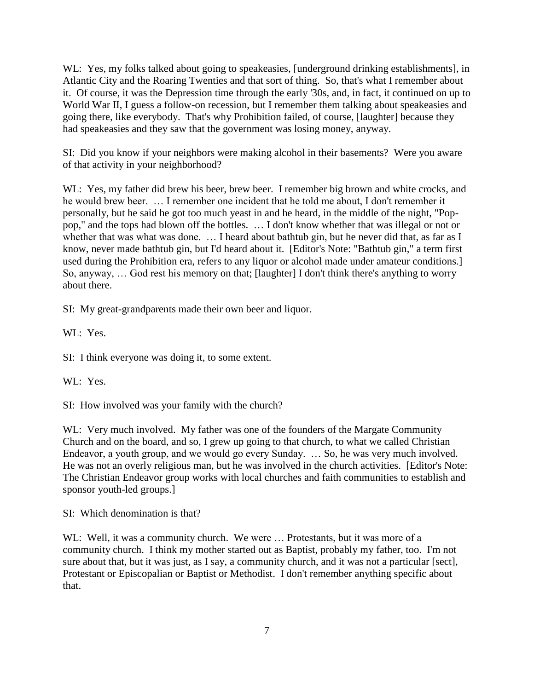WL: Yes, my folks talked about going to speakeasies, [underground drinking establishments], in Atlantic City and the Roaring Twenties and that sort of thing. So, that's what I remember about it. Of course, it was the Depression time through the early '30s, and, in fact, it continued on up to World War II, I guess a follow-on recession, but I remember them talking about speakeasies and going there, like everybody. That's why Prohibition failed, of course, [laughter] because they had speakeasies and they saw that the government was losing money, anyway.

SI: Did you know if your neighbors were making alcohol in their basements? Were you aware of that activity in your neighborhood?

WL: Yes, my father did brew his beer, brew beer. I remember big brown and white crocks, and he would brew beer. … I remember one incident that he told me about, I don't remember it personally, but he said he got too much yeast in and he heard, in the middle of the night, "Poppop," and the tops had blown off the bottles. … I don't know whether that was illegal or not or whether that was what was done. ... I heard about bathtub gin, but he never did that, as far as I know, never made bathtub gin, but I'd heard about it. [Editor's Note: "Bathtub gin," a term first used during the Prohibition era, refers to any liquor or alcohol made under amateur conditions.] So, anyway, … God rest his memory on that; [laughter] I don't think there's anything to worry about there.

SI: My great-grandparents made their own beer and liquor.

WL: Yes.

SI: I think everyone was doing it, to some extent.

WL: Yes.

SI: How involved was your family with the church?

WL: Very much involved. My father was one of the founders of the Margate Community Church and on the board, and so, I grew up going to that church, to what we called Christian Endeavor, a youth group, and we would go every Sunday. … So, he was very much involved. He was not an overly religious man, but he was involved in the church activities. [Editor's Note: The Christian Endeavor group works with local churches and faith communities to establish and sponsor youth-led groups.]

SI: Which denomination is that?

WL: Well, it was a community church. We were ... Protestants, but it was more of a community church. I think my mother started out as Baptist, probably my father, too. I'm not sure about that, but it was just, as I say, a community church, and it was not a particular [sect], Protestant or Episcopalian or Baptist or Methodist. I don't remember anything specific about that.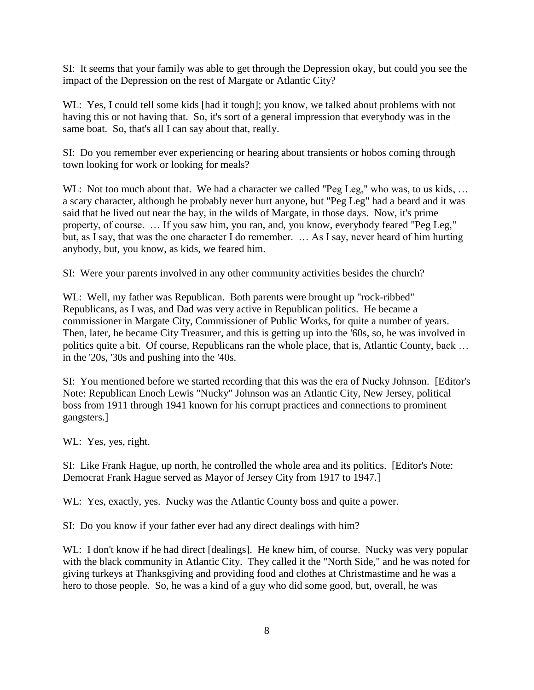SI: It seems that your family was able to get through the Depression okay, but could you see the impact of the Depression on the rest of Margate or Atlantic City?

WL: Yes, I could tell some kids [had it tough]; you know, we talked about problems with not having this or not having that. So, it's sort of a general impression that everybody was in the same boat. So, that's all I can say about that, really.

SI: Do you remember ever experiencing or hearing about transients or hobos coming through town looking for work or looking for meals?

WL: Not too much about that. We had a character we called "Peg Leg," who was, to us kids, ... a scary character, although he probably never hurt anyone, but "Peg Leg" had a beard and it was said that he lived out near the bay, in the wilds of Margate, in those days. Now, it's prime property, of course. … If you saw him, you ran, and, you know, everybody feared "Peg Leg," but, as I say, that was the one character I do remember. … As I say, never heard of him hurting anybody, but, you know, as kids, we feared him.

SI: Were your parents involved in any other community activities besides the church?

WL: Well, my father was Republican. Both parents were brought up "rock-ribbed" Republicans, as I was, and Dad was very active in Republican politics. He became a commissioner in Margate City, Commissioner of Public Works, for quite a number of years. Then, later, he became City Treasurer, and this is getting up into the '60s, so, he was involved in politics quite a bit. Of course, Republicans ran the whole place, that is, Atlantic County, back … in the '20s, '30s and pushing into the '40s.

SI: You mentioned before we started recording that this was the era of Nucky Johnson. [Editor's Note: Republican Enoch Lewis "Nucky" Johnson was an Atlantic City, New Jersey, political boss from 1911 through 1941 known for his corrupt practices and connections to prominent gangsters.]

WL: Yes, yes, right.

SI: Like Frank Hague, up north, he controlled the whole area and its politics. [Editor's Note: Democrat Frank Hague served as Mayor of Jersey City from 1917 to 1947.]

WL: Yes, exactly, yes. Nucky was the Atlantic County boss and quite a power.

SI: Do you know if your father ever had any direct dealings with him?

WL: I don't know if he had direct [dealings]. He knew him, of course. Nucky was very popular with the black community in Atlantic City. They called it the "North Side," and he was noted for giving turkeys at Thanksgiving and providing food and clothes at Christmastime and he was a hero to those people. So, he was a kind of a guy who did some good, but, overall, he was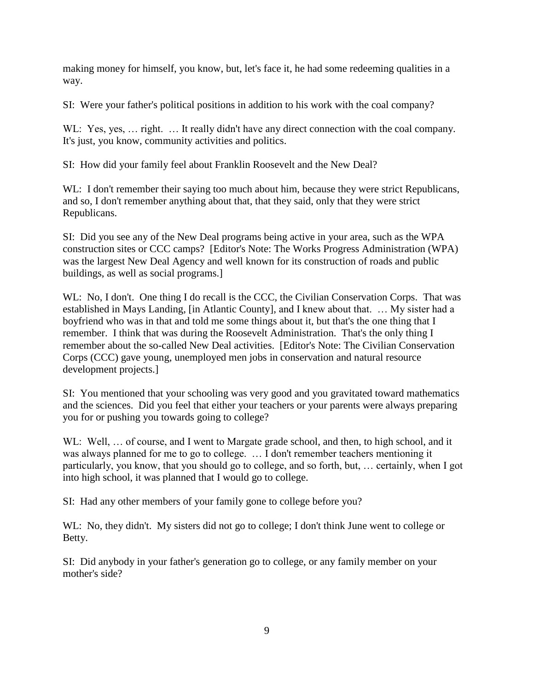making money for himself, you know, but, let's face it, he had some redeeming qualities in a way.

SI: Were your father's political positions in addition to his work with the coal company?

W. Yes, yes, ... right. ... It really didn't have any direct connection with the coal company. It's just, you know, community activities and politics.

SI: How did your family feel about Franklin Roosevelt and the New Deal?

WL: I don't remember their saying too much about him, because they were strict Republicans, and so, I don't remember anything about that, that they said, only that they were strict Republicans.

SI: Did you see any of the New Deal programs being active in your area, such as the WPA construction sites or CCC camps? [Editor's Note: The Works Progress Administration (WPA) was the largest New Deal Agency and well known for its construction of roads and public buildings, as well as social programs.]

WL: No, I don't. One thing I do recall is the CCC, the Civilian Conservation Corps. That was established in Mays Landing, [in Atlantic County], and I knew about that. … My sister had a boyfriend who was in that and told me some things about it, but that's the one thing that I remember. I think that was during the Roosevelt Administration. That's the only thing I remember about the so-called New Deal activities. [Editor's Note: The Civilian Conservation Corps (CCC) gave young, unemployed men jobs in conservation and natural resource development projects.]

SI: You mentioned that your schooling was very good and you gravitated toward mathematics and the sciences. Did you feel that either your teachers or your parents were always preparing you for or pushing you towards going to college?

WL: Well, ... of course, and I went to Margate grade school, and then, to high school, and it was always planned for me to go to college. … I don't remember teachers mentioning it particularly, you know, that you should go to college, and so forth, but, … certainly, when I got into high school, it was planned that I would go to college.

SI: Had any other members of your family gone to college before you?

WL: No, they didn't. My sisters did not go to college; I don't think June went to college or Betty.

SI: Did anybody in your father's generation go to college, or any family member on your mother's side?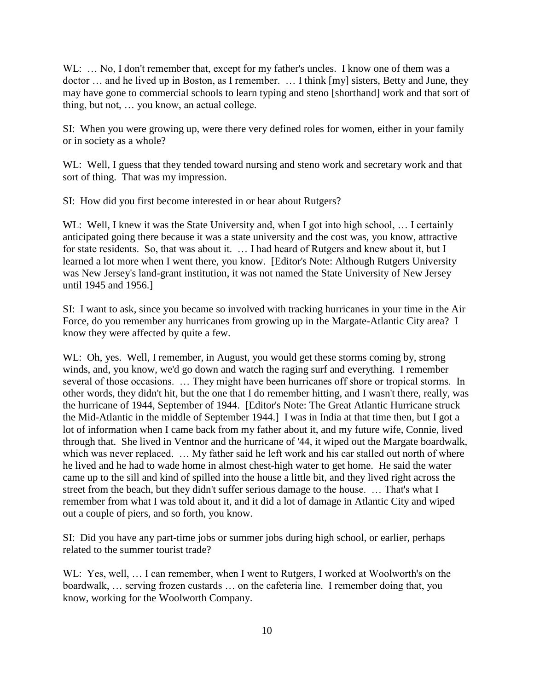WL: ... No, I don't remember that, except for my father's uncles. I know one of them was a doctor … and he lived up in Boston, as I remember. … I think [my] sisters, Betty and June, they may have gone to commercial schools to learn typing and steno [shorthand] work and that sort of thing, but not, … you know, an actual college.

SI: When you were growing up, were there very defined roles for women, either in your family or in society as a whole?

WL: Well, I guess that they tended toward nursing and steno work and secretary work and that sort of thing. That was my impression.

SI: How did you first become interested in or hear about Rutgers?

WL: Well, I knew it was the State University and, when I got into high school, ... I certainly anticipated going there because it was a state university and the cost was, you know, attractive for state residents. So, that was about it. … I had heard of Rutgers and knew about it, but I learned a lot more when I went there, you know. [Editor's Note: Although Rutgers University was New Jersey's land-grant institution, it was not named the State University of New Jersey until 1945 and 1956.]

SI: I want to ask, since you became so involved with tracking hurricanes in your time in the Air Force, do you remember any hurricanes from growing up in the Margate-Atlantic City area? I know they were affected by quite a few.

WL: Oh, yes. Well, I remember, in August, you would get these storms coming by, strong winds, and, you know, we'd go down and watch the raging surf and everything. I remember several of those occasions. … They might have been hurricanes off shore or tropical storms. In other words, they didn't hit, but the one that I do remember hitting, and I wasn't there, really, was the hurricane of 1944, September of 1944. [Editor's Note: The Great Atlantic Hurricane struck the Mid-Atlantic in the middle of September 1944.] I was in India at that time then, but I got a lot of information when I came back from my father about it, and my future wife, Connie, lived through that. She lived in Ventnor and the hurricane of '44, it wiped out the Margate boardwalk, which was never replaced. ... My father said he left work and his car stalled out north of where he lived and he had to wade home in almost chest-high water to get home. He said the water came up to the sill and kind of spilled into the house a little bit, and they lived right across the street from the beach, but they didn't suffer serious damage to the house. … That's what I remember from what I was told about it, and it did a lot of damage in Atlantic City and wiped out a couple of piers, and so forth, you know.

SI: Did you have any part-time jobs or summer jobs during high school, or earlier, perhaps related to the summer tourist trade?

WL: Yes, well, ... I can remember, when I went to Rutgers, I worked at Woolworth's on the boardwalk, … serving frozen custards … on the cafeteria line. I remember doing that, you know, working for the Woolworth Company.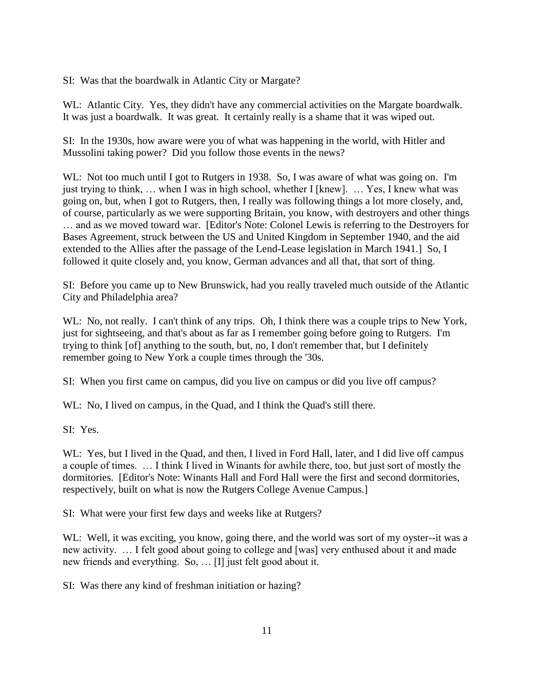SI: Was that the boardwalk in Atlantic City or Margate?

WL: Atlantic City. Yes, they didn't have any commercial activities on the Margate boardwalk. It was just a boardwalk. It was great. It certainly really is a shame that it was wiped out.

SI: In the 1930s, how aware were you of what was happening in the world, with Hitler and Mussolini taking power? Did you follow those events in the news?

WL: Not too much until I got to Rutgers in 1938. So, I was aware of what was going on. I'm just trying to think, … when I was in high school, whether I [knew]. … Yes, I knew what was going on, but, when I got to Rutgers, then, I really was following things a lot more closely, and, of course, particularly as we were supporting Britain, you know, with destroyers and other things … and as we moved toward war. [Editor's Note: Colonel Lewis is referring to the Destroyers for Bases Agreement, struck between the US and United Kingdom in September 1940, and the aid extended to the Allies after the passage of the Lend-Lease legislation in March 1941.] So, I followed it quite closely and, you know, German advances and all that, that sort of thing.

SI: Before you came up to New Brunswick, had you really traveled much outside of the Atlantic City and Philadelphia area?

WL: No, not really. I can't think of any trips. Oh, I think there was a couple trips to New York, just for sightseeing, and that's about as far as I remember going before going to Rutgers. I'm trying to think [of] anything to the south, but, no, I don't remember that, but I definitely remember going to New York a couple times through the '30s.

SI: When you first came on campus, did you live on campus or did you live off campus?

WL: No, I lived on campus, in the Quad, and I think the Quad's still there.

SI: Yes.

WL: Yes, but I lived in the Quad, and then, I lived in Ford Hall, later, and I did live off campus a couple of times. … I think I lived in Winants for awhile there, too, but just sort of mostly the dormitories. [Editor's Note: Winants Hall and Ford Hall were the first and second dormitories, respectively, built on what is now the Rutgers College Avenue Campus.]

SI: What were your first few days and weeks like at Rutgers?

WL: Well, it was exciting, you know, going there, and the world was sort of my oyster--it was a new activity. … I felt good about going to college and [was] very enthused about it and made new friends and everything. So, … [I] just felt good about it.

SI: Was there any kind of freshman initiation or hazing?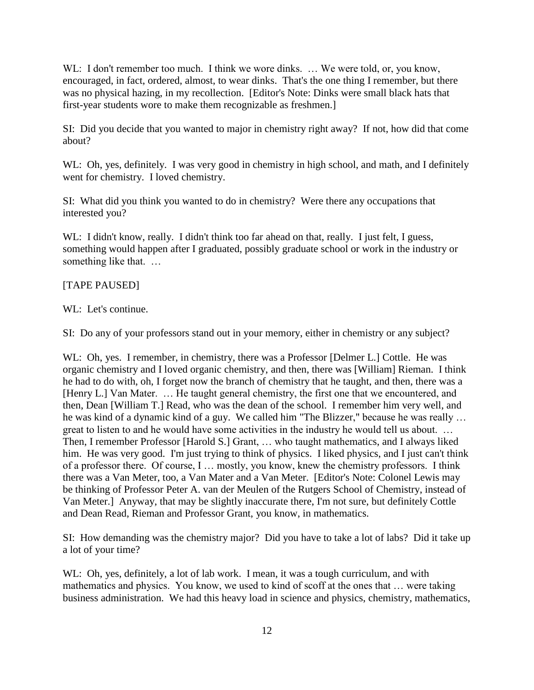WL: I don't remember too much. I think we wore dinks. ... We were told, or, you know, encouraged, in fact, ordered, almost, to wear dinks. That's the one thing I remember, but there was no physical hazing, in my recollection. [Editor's Note: Dinks were small black hats that first-year students wore to make them recognizable as freshmen.]

SI: Did you decide that you wanted to major in chemistry right away? If not, how did that come about?

WL: Oh, yes, definitely. I was very good in chemistry in high school, and math, and I definitely went for chemistry. I loved chemistry.

SI: What did you think you wanted to do in chemistry? Were there any occupations that interested you?

WL: I didn't know, really. I didn't think too far ahead on that, really. I just felt, I guess, something would happen after I graduated, possibly graduate school or work in the industry or something like that. …

### [TAPE PAUSED]

WL: Let's continue.

SI: Do any of your professors stand out in your memory, either in chemistry or any subject?

WL: Oh, yes. I remember, in chemistry, there was a Professor [Delmer L.] Cottle. He was organic chemistry and I loved organic chemistry, and then, there was [William] Rieman. I think he had to do with, oh, I forget now the branch of chemistry that he taught, and then, there was a [Henry L.] Van Mater. … He taught general chemistry, the first one that we encountered, and then, Dean [William T.] Read, who was the dean of the school. I remember him very well, and he was kind of a dynamic kind of a guy. We called him "The Blizzer," because he was really … great to listen to and he would have some activities in the industry he would tell us about. ... Then, I remember Professor [Harold S.] Grant, … who taught mathematics, and I always liked him. He was very good. I'm just trying to think of physics. I liked physics, and I just can't think of a professor there. Of course, I … mostly, you know, knew the chemistry professors. I think there was a Van Meter, too, a Van Mater and a Van Meter. [Editor's Note: Colonel Lewis may be thinking of Professor Peter A. van der Meulen of the Rutgers School of Chemistry, instead of Van Meter.] Anyway, that may be slightly inaccurate there, I'm not sure, but definitely Cottle and Dean Read, Rieman and Professor Grant, you know, in mathematics.

SI: How demanding was the chemistry major? Did you have to take a lot of labs? Did it take up a lot of your time?

WL: Oh, yes, definitely, a lot of lab work. I mean, it was a tough curriculum, and with mathematics and physics. You know, we used to kind of scoff at the ones that … were taking business administration. We had this heavy load in science and physics, chemistry, mathematics,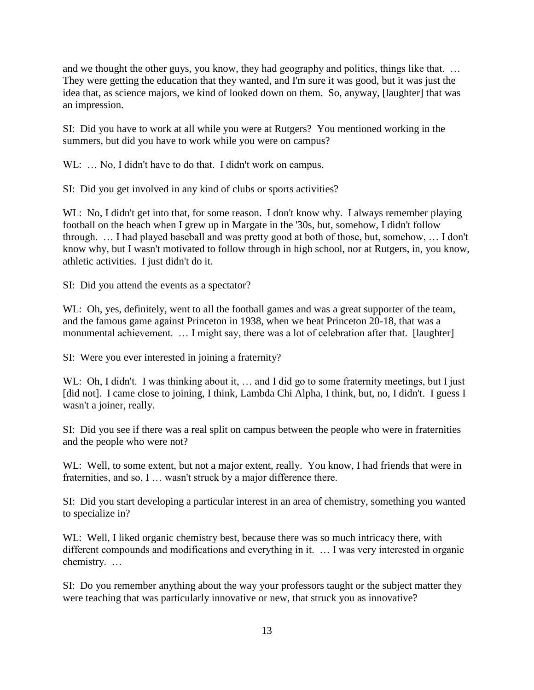and we thought the other guys, you know, they had geography and politics, things like that. … They were getting the education that they wanted, and I'm sure it was good, but it was just the idea that, as science majors, we kind of looked down on them. So, anyway, [laughter] that was an impression.

SI: Did you have to work at all while you were at Rutgers? You mentioned working in the summers, but did you have to work while you were on campus?

WL: ... No, I didn't have to do that. I didn't work on campus.

SI: Did you get involved in any kind of clubs or sports activities?

WL: No, I didn't get into that, for some reason. I don't know why. I always remember playing football on the beach when I grew up in Margate in the '30s, but, somehow, I didn't follow through. … I had played baseball and was pretty good at both of those, but, somehow, … I don't know why, but I wasn't motivated to follow through in high school, nor at Rutgers, in, you know, athletic activities. I just didn't do it.

SI: Did you attend the events as a spectator?

WL: Oh, yes, definitely, went to all the football games and was a great supporter of the team, and the famous game against Princeton in 1938, when we beat Princeton 20-18, that was a monumental achievement. … I might say, there was a lot of celebration after that. [laughter]

SI: Were you ever interested in joining a fraternity?

WL: Oh, I didn't. I was thinking about it, ... and I did go to some fraternity meetings, but I just [did not]. I came close to joining, I think, Lambda Chi Alpha, I think, but, no, I didn't. I guess I wasn't a joiner, really.

SI: Did you see if there was a real split on campus between the people who were in fraternities and the people who were not?

WL: Well, to some extent, but not a major extent, really. You know, I had friends that were in fraternities, and so, I … wasn't struck by a major difference there.

SI: Did you start developing a particular interest in an area of chemistry, something you wanted to specialize in?

WL: Well, I liked organic chemistry best, because there was so much intricacy there, with different compounds and modifications and everything in it. … I was very interested in organic chemistry. …

SI: Do you remember anything about the way your professors taught or the subject matter they were teaching that was particularly innovative or new, that struck you as innovative?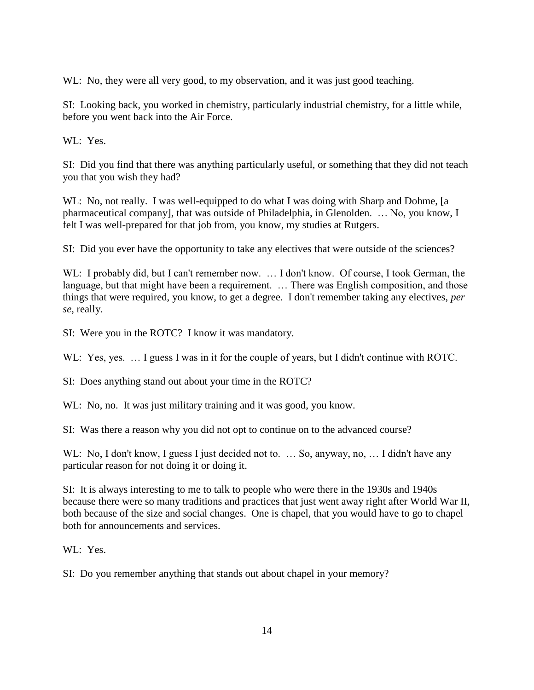WL: No, they were all very good, to my observation, and it was just good teaching.

SI: Looking back, you worked in chemistry, particularly industrial chemistry, for a little while, before you went back into the Air Force.

WL: Yes.

SI: Did you find that there was anything particularly useful, or something that they did not teach you that you wish they had?

WL: No, not really. I was well-equipped to do what I was doing with Sharp and Dohme, [a pharmaceutical company], that was outside of Philadelphia, in Glenolden. … No, you know, I felt I was well-prepared for that job from, you know, my studies at Rutgers.

SI: Did you ever have the opportunity to take any electives that were outside of the sciences?

WL: I probably did, but I can't remember now. ... I don't know. Of course, I took German, the language, but that might have been a requirement. ... There was English composition, and those things that were required, you know, to get a degree. I don't remember taking any electives, *per se*, really.

SI: Were you in the ROTC? I know it was mandatory.

W.L: Yes, yes. ... I guess I was in it for the couple of years, but I didn't continue with ROTC.

SI: Does anything stand out about your time in the ROTC?

WL: No, no. It was just military training and it was good, you know.

SI: Was there a reason why you did not opt to continue on to the advanced course?

WL: No, I don't know, I guess I just decided not to. ... So, anyway, no, ... I didn't have any particular reason for not doing it or doing it.

SI: It is always interesting to me to talk to people who were there in the 1930s and 1940s because there were so many traditions and practices that just went away right after World War II, both because of the size and social changes. One is chapel, that you would have to go to chapel both for announcements and services.

WL: Yes.

SI: Do you remember anything that stands out about chapel in your memory?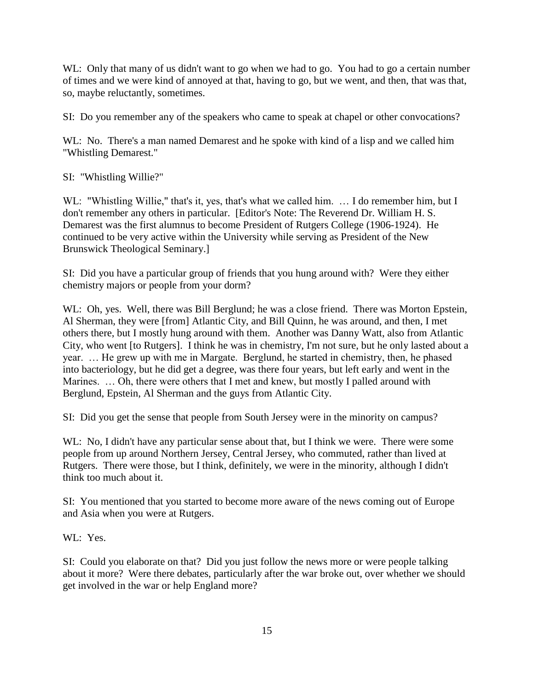WL: Only that many of us didn't want to go when we had to go. You had to go a certain number of times and we were kind of annoyed at that, having to go, but we went, and then, that was that, so, maybe reluctantly, sometimes.

SI: Do you remember any of the speakers who came to speak at chapel or other convocations?

WL: No. There's a man named Demarest and he spoke with kind of a lisp and we called him "Whistling Demarest."

SI: "Whistling Willie?"

WL: "Whistling Willie," that's it, yes, that's what we called him. ... I do remember him, but I don't remember any others in particular. [Editor's Note: The Reverend Dr. William H. S. Demarest was the first alumnus to become President of Rutgers College (1906-1924). He continued to be very active within the University while serving as President of the New Brunswick Theological Seminary.]

SI: Did you have a particular group of friends that you hung around with? Were they either chemistry majors or people from your dorm?

WL: Oh, yes. Well, there was Bill Berglund; he was a close friend. There was Morton Epstein, Al Sherman, they were [from] Atlantic City, and Bill Quinn, he was around, and then, I met others there, but I mostly hung around with them. Another was Danny Watt, also from Atlantic City, who went [to Rutgers]. I think he was in chemistry, I'm not sure, but he only lasted about a year. … He grew up with me in Margate. Berglund, he started in chemistry, then, he phased into bacteriology, but he did get a degree, was there four years, but left early and went in the Marines. ... Oh, there were others that I met and knew, but mostly I palled around with Berglund, Epstein, Al Sherman and the guys from Atlantic City.

SI: Did you get the sense that people from South Jersey were in the minority on campus?

WL: No, I didn't have any particular sense about that, but I think we were. There were some people from up around Northern Jersey, Central Jersey, who commuted, rather than lived at Rutgers. There were those, but I think, definitely, we were in the minority, although I didn't think too much about it.

SI: You mentioned that you started to become more aware of the news coming out of Europe and Asia when you were at Rutgers.

WL: Yes.

SI: Could you elaborate on that? Did you just follow the news more or were people talking about it more? Were there debates, particularly after the war broke out, over whether we should get involved in the war or help England more?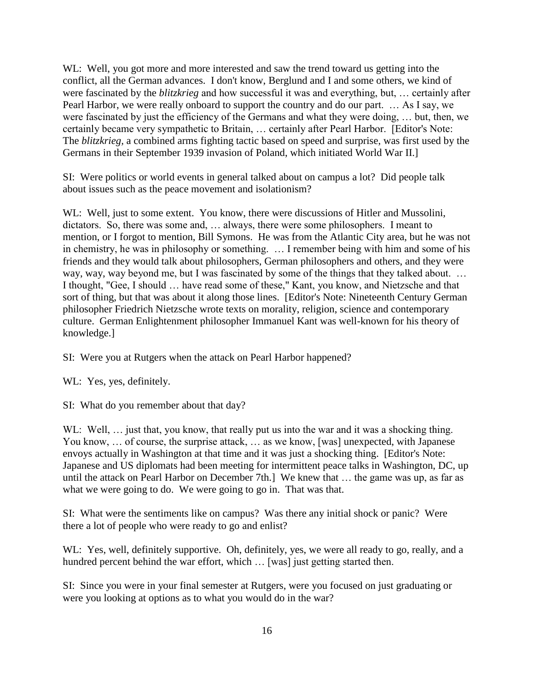WL: Well, you got more and more interested and saw the trend toward us getting into the conflict, all the German advances. I don't know, Berglund and I and some others, we kind of were fascinated by the *blitzkrieg* and how successful it was and everything, but, … certainly after Pearl Harbor, we were really onboard to support the country and do our part. … As I say, we were fascinated by just the efficiency of the Germans and what they were doing, … but, then, we certainly became very sympathetic to Britain, … certainly after Pearl Harbor. [Editor's Note: The *blitzkrieg,* a combined arms fighting tactic based on speed and surprise, was first used by the Germans in their September 1939 invasion of Poland, which initiated World War II.]

SI: Were politics or world events in general talked about on campus a lot? Did people talk about issues such as the peace movement and isolationism?

WL: Well, just to some extent. You know, there were discussions of Hitler and Mussolini, dictators. So, there was some and, … always, there were some philosophers. I meant to mention, or I forgot to mention, Bill Symons. He was from the Atlantic City area, but he was not in chemistry, he was in philosophy or something. … I remember being with him and some of his friends and they would talk about philosophers, German philosophers and others, and they were way, way, way beyond me, but I was fascinated by some of the things that they talked about. … I thought, "Gee, I should … have read some of these," Kant, you know, and Nietzsche and that sort of thing, but that was about it along those lines. [Editor's Note: Nineteenth Century German philosopher Friedrich Nietzsche wrote texts on morality, religion, science and contemporary culture. German Enlightenment philosopher Immanuel Kant was well-known for his theory of knowledge.]

SI: Were you at Rutgers when the attack on Pearl Harbor happened?

WL: Yes, yes, definitely.

SI: What do you remember about that day?

WL: Well, ... just that, you know, that really put us into the war and it was a shocking thing. You know, ... of course, the surprise attack, ... as we know, [was] unexpected, with Japanese envoys actually in Washington at that time and it was just a shocking thing. [Editor's Note: Japanese and US diplomats had been meeting for intermittent peace talks in Washington, DC, up until the attack on Pearl Harbor on December 7th.] We knew that … the game was up, as far as what we were going to do. We were going to go in. That was that.

SI: What were the sentiments like on campus? Was there any initial shock or panic? Were there a lot of people who were ready to go and enlist?

WL: Yes, well, definitely supportive. Oh, definitely, yes, we were all ready to go, really, and a hundred percent behind the war effort, which ... [was] just getting started then.

SI: Since you were in your final semester at Rutgers, were you focused on just graduating or were you looking at options as to what you would do in the war?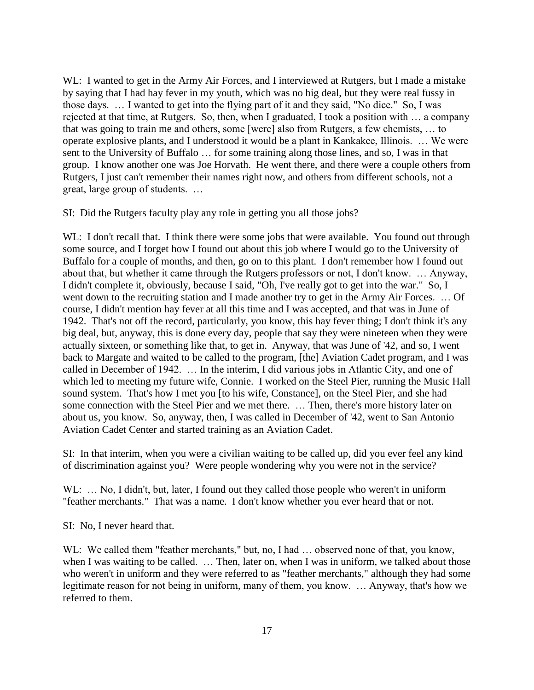WL: I wanted to get in the Army Air Forces, and I interviewed at Rutgers, but I made a mistake by saying that I had hay fever in my youth, which was no big deal, but they were real fussy in those days. … I wanted to get into the flying part of it and they said, "No dice." So, I was rejected at that time, at Rutgers. So, then, when I graduated, I took a position with … a company that was going to train me and others, some [were] also from Rutgers, a few chemists, … to operate explosive plants, and I understood it would be a plant in Kankakee, Illinois. … We were sent to the University of Buffalo … for some training along those lines, and so, I was in that group. I know another one was Joe Horvath. He went there, and there were a couple others from Rutgers, I just can't remember their names right now, and others from different schools, not a great, large group of students. …

SI: Did the Rutgers faculty play any role in getting you all those jobs?

WL: I don't recall that. I think there were some jobs that were available. You found out through some source, and I forget how I found out about this job where I would go to the University of Buffalo for a couple of months, and then, go on to this plant. I don't remember how I found out about that, but whether it came through the Rutgers professors or not, I don't know. … Anyway, I didn't complete it, obviously, because I said, "Oh, I've really got to get into the war." So, I went down to the recruiting station and I made another try to get in the Army Air Forces. … Of course, I didn't mention hay fever at all this time and I was accepted, and that was in June of 1942. That's not off the record, particularly, you know, this hay fever thing; I don't think it's any big deal, but, anyway, this is done every day, people that say they were nineteen when they were actually sixteen, or something like that, to get in. Anyway, that was June of '42, and so, I went back to Margate and waited to be called to the program, [the] Aviation Cadet program, and I was called in December of 1942. … In the interim, I did various jobs in Atlantic City, and one of which led to meeting my future wife, Connie. I worked on the Steel Pier, running the Music Hall sound system. That's how I met you [to his wife, Constance], on the Steel Pier, and she had some connection with the Steel Pier and we met there. … Then, there's more history later on about us, you know. So, anyway, then, I was called in December of '42, went to San Antonio Aviation Cadet Center and started training as an Aviation Cadet.

SI: In that interim, when you were a civilian waiting to be called up, did you ever feel any kind of discrimination against you? Were people wondering why you were not in the service?

WL: ... No, I didn't, but, later, I found out they called those people who weren't in uniform "feather merchants." That was a name. I don't know whether you ever heard that or not.

SI: No, I never heard that.

WL: We called them "feather merchants," but, no, I had ... observed none of that, you know, when I was waiting to be called. ... Then, later on, when I was in uniform, we talked about those who weren't in uniform and they were referred to as "feather merchants," although they had some legitimate reason for not being in uniform, many of them, you know. … Anyway, that's how we referred to them.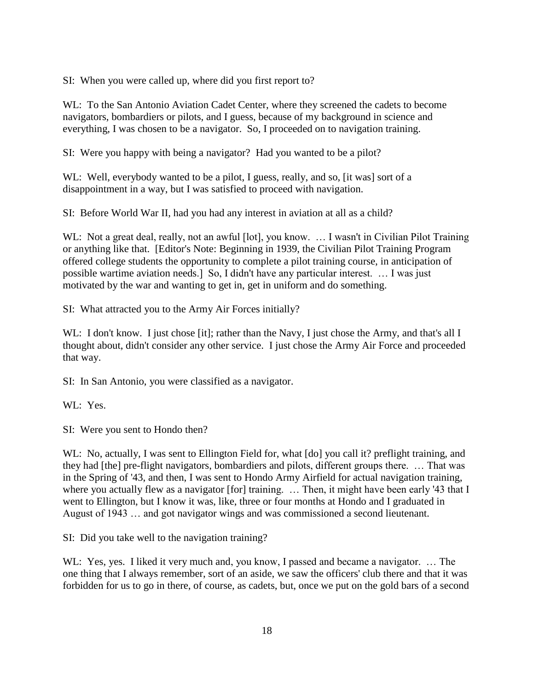SI: When you were called up, where did you first report to?

WL: To the San Antonio Aviation Cadet Center, where they screened the cadets to become navigators, bombardiers or pilots, and I guess, because of my background in science and everything, I was chosen to be a navigator. So, I proceeded on to navigation training.

SI: Were you happy with being a navigator? Had you wanted to be a pilot?

WL: Well, everybody wanted to be a pilot, I guess, really, and so, [it was] sort of a disappointment in a way, but I was satisfied to proceed with navigation.

SI: Before World War II, had you had any interest in aviation at all as a child?

WL: Not a great deal, really, not an awful [lot], you know. ... I wasn't in Civilian Pilot Training or anything like that. [Editor's Note: Beginning in 1939, the Civilian Pilot Training Program offered college students the opportunity to complete a pilot training course, in anticipation of possible wartime aviation needs.] So, I didn't have any particular interest. … I was just motivated by the war and wanting to get in, get in uniform and do something.

SI: What attracted you to the Army Air Forces initially?

WL: I don't know. I just chose [it]; rather than the Navy, I just chose the Army, and that's all I thought about, didn't consider any other service. I just chose the Army Air Force and proceeded that way.

SI: In San Antonio, you were classified as a navigator.

WL: Yes.

SI: Were you sent to Hondo then?

WL: No, actually, I was sent to Ellington Field for, what  $\lceil d \circ \rceil$  you call it? preflight training, and they had [the] pre-flight navigators, bombardiers and pilots, different groups there. … That was in the Spring of '43, and then, I was sent to Hondo Army Airfield for actual navigation training, where you actually flew as a navigator [for] training. ... Then, it might have been early '43 that I went to Ellington, but I know it was, like, three or four months at Hondo and I graduated in August of 1943 … and got navigator wings and was commissioned a second lieutenant.

SI: Did you take well to the navigation training?

WL: Yes, yes. I liked it very much and, you know, I passed and became a navigator. ... The one thing that I always remember, sort of an aside, we saw the officers' club there and that it was forbidden for us to go in there, of course, as cadets, but, once we put on the gold bars of a second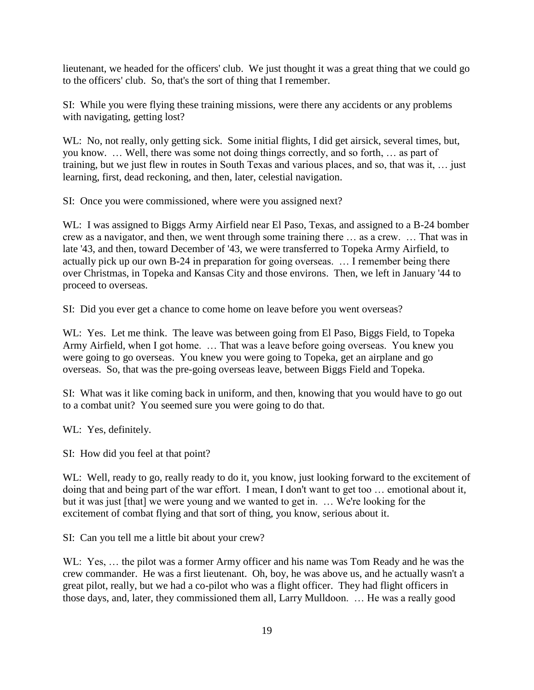lieutenant, we headed for the officers' club. We just thought it was a great thing that we could go to the officers' club. So, that's the sort of thing that I remember.

SI: While you were flying these training missions, were there any accidents or any problems with navigating, getting lost?

WL: No, not really, only getting sick. Some initial flights, I did get airsick, several times, but, you know. … Well, there was some not doing things correctly, and so forth, … as part of training, but we just flew in routes in South Texas and various places, and so, that was it, … just learning, first, dead reckoning, and then, later, celestial navigation.

SI: Once you were commissioned, where were you assigned next?

WL: I was assigned to Biggs Army Airfield near El Paso, Texas, and assigned to a B-24 bomber crew as a navigator, and then, we went through some training there … as a crew. … That was in late '43, and then, toward December of '43, we were transferred to Topeka Army Airfield, to actually pick up our own B-24 in preparation for going overseas. … I remember being there over Christmas, in Topeka and Kansas City and those environs. Then, we left in January '44 to proceed to overseas.

SI: Did you ever get a chance to come home on leave before you went overseas?

WL: Yes. Let me think. The leave was between going from El Paso, Biggs Field, to Topeka Army Airfield, when I got home. … That was a leave before going overseas. You knew you were going to go overseas. You knew you were going to Topeka, get an airplane and go overseas. So, that was the pre-going overseas leave, between Biggs Field and Topeka.

SI: What was it like coming back in uniform, and then, knowing that you would have to go out to a combat unit? You seemed sure you were going to do that.

WL: Yes, definitely.

SI: How did you feel at that point?

WL: Well, ready to go, really ready to do it, you know, just looking forward to the excitement of doing that and being part of the war effort. I mean, I don't want to get too … emotional about it, but it was just [that] we were young and we wanted to get in. … We're looking for the excitement of combat flying and that sort of thing, you know, serious about it.

SI: Can you tell me a little bit about your crew?

WL: Yes, … the pilot was a former Army officer and his name was Tom Ready and he was the crew commander. He was a first lieutenant. Oh, boy, he was above us, and he actually wasn't a great pilot, really, but we had a co-pilot who was a flight officer. They had flight officers in those days, and, later, they commissioned them all, Larry Mulldoon. … He was a really good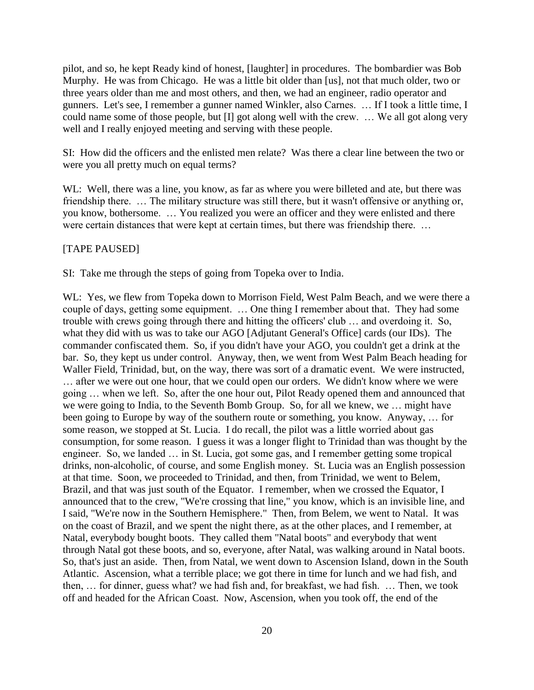pilot, and so, he kept Ready kind of honest, [laughter] in procedures. The bombardier was Bob Murphy. He was from Chicago. He was a little bit older than [us], not that much older, two or three years older than me and most others, and then, we had an engineer, radio operator and gunners. Let's see, I remember a gunner named Winkler, also Carnes. … If I took a little time, I could name some of those people, but [I] got along well with the crew. … We all got along very well and I really enjoyed meeting and serving with these people.

SI: How did the officers and the enlisted men relate? Was there a clear line between the two or were you all pretty much on equal terms?

WL: Well, there was a line, you know, as far as where you were billeted and ate, but there was friendship there. … The military structure was still there, but it wasn't offensive or anything or, you know, bothersome. … You realized you were an officer and they were enlisted and there were certain distances that were kept at certain times, but there was friendship there. …

#### [TAPE PAUSED]

SI: Take me through the steps of going from Topeka over to India.

WL: Yes, we flew from Topeka down to Morrison Field, West Palm Beach, and we were there a couple of days, getting some equipment. … One thing I remember about that. They had some trouble with crews going through there and hitting the officers' club … and overdoing it. So, what they did with us was to take our AGO [Adjutant General's Office] cards (our IDs). The commander confiscated them. So, if you didn't have your AGO, you couldn't get a drink at the bar. So, they kept us under control. Anyway, then, we went from West Palm Beach heading for Waller Field, Trinidad, but, on the way, there was sort of a dramatic event. We were instructed, … after we were out one hour, that we could open our orders. We didn't know where we were going … when we left. So, after the one hour out, Pilot Ready opened them and announced that we were going to India, to the Seventh Bomb Group. So, for all we knew, we … might have been going to Europe by way of the southern route or something, you know. Anyway, … for some reason, we stopped at St. Lucia. I do recall, the pilot was a little worried about gas consumption, for some reason. I guess it was a longer flight to Trinidad than was thought by the engineer. So, we landed … in St. Lucia, got some gas, and I remember getting some tropical drinks, non-alcoholic, of course, and some English money. St. Lucia was an English possession at that time. Soon, we proceeded to Trinidad, and then, from Trinidad, we went to Belem, Brazil, and that was just south of the Equator. I remember, when we crossed the Equator, I announced that to the crew, "We're crossing that line," you know, which is an invisible line, and I said, "We're now in the Southern Hemisphere." Then, from Belem, we went to Natal. It was on the coast of Brazil, and we spent the night there, as at the other places, and I remember, at Natal, everybody bought boots. They called them "Natal boots" and everybody that went through Natal got these boots, and so, everyone, after Natal, was walking around in Natal boots. So, that's just an aside. Then, from Natal, we went down to Ascension Island, down in the South Atlantic. Ascension, what a terrible place; we got there in time for lunch and we had fish, and then, … for dinner, guess what? we had fish and, for breakfast, we had fish. … Then, we took off and headed for the African Coast. Now, Ascension, when you took off, the end of the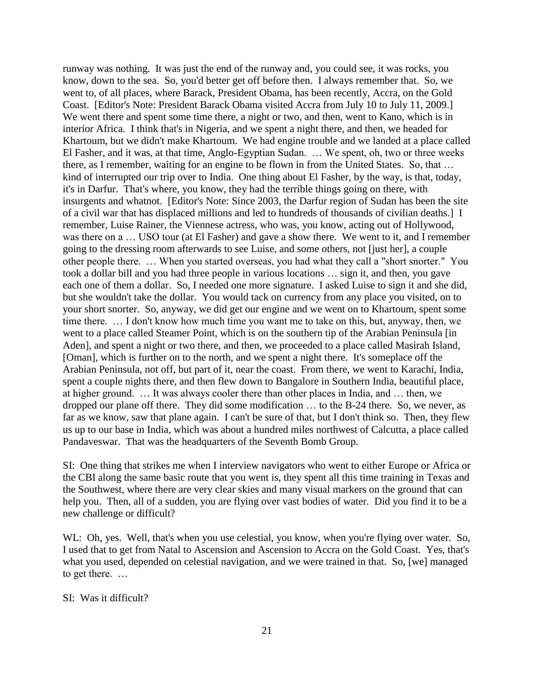runway was nothing. It was just the end of the runway and, you could see, it was rocks, you know, down to the sea. So, you'd better get off before then. I always remember that. So, we went to, of all places, where Barack, President Obama, has been recently, Accra, on the Gold Coast. [Editor's Note: President Barack Obama visited Accra from July 10 to July 11, 2009.] We went there and spent some time there, a night or two, and then, went to Kano, which is in interior Africa. I think that's in Nigeria, and we spent a night there, and then, we headed for Khartoum, but we didn't make Khartoum. We had engine trouble and we landed at a place called El Fasher, and it was, at that time, Anglo-Egyptian Sudan. … We spent, oh, two or three weeks there, as I remember, waiting for an engine to be flown in from the United States. So, that … kind of interrupted our trip over to India. One thing about El Fasher, by the way, is that, today, it's in Darfur. That's where, you know, they had the terrible things going on there, with insurgents and whatnot. [Editor's Note: Since 2003, the Darfur region of Sudan has been the site of a civil war that has displaced millions and led to hundreds of thousands of civilian deaths.] I remember, Luise Rainer, the Viennese actress, who was, you know, acting out of Hollywood, was there on a … USO tour (at El Fasher) and gave a show there. We went to it, and I remember going to the dressing room afterwards to see Luise, and some others, not [just her], a couple other people there. … When you started overseas, you had what they call a "short snorter." You took a dollar bill and you had three people in various locations … sign it, and then, you gave each one of them a dollar. So, I needed one more signature. I asked Luise to sign it and she did, but she wouldn't take the dollar. You would tack on currency from any place you visited, on to your short snorter. So, anyway, we did get our engine and we went on to Khartoum, spent some time there. … I don't know how much time you want me to take on this, but, anyway, then, we went to a place called Steamer Point, which is on the southern tip of the Arabian Peninsula [in Aden], and spent a night or two there, and then, we proceeded to a place called Masirah Island, [Oman], which is further on to the north, and we spent a night there. It's someplace off the Arabian Peninsula, not off, but part of it, near the coast. From there, we went to Karachi, India, spent a couple nights there, and then flew down to Bangalore in Southern India, beautiful place, at higher ground. … It was always cooler there than other places in India, and … then, we dropped our plane off there. They did some modification … to the B-24 there. So, we never, as far as we know, saw that plane again. I can't be sure of that, but I don't think so. Then, they flew us up to our base in India, which was about a hundred miles northwest of Calcutta, a place called Pandaveswar. That was the headquarters of the Seventh Bomb Group.

SI: One thing that strikes me when I interview navigators who went to either Europe or Africa or the CBI along the same basic route that you went is, they spent all this time training in Texas and the Southwest, where there are very clear skies and many visual markers on the ground that can help you. Then, all of a sudden, you are flying over vast bodies of water. Did you find it to be a new challenge or difficult?

WL: Oh, yes. Well, that's when you use celestial, you know, when you're flying over water. So, I used that to get from Natal to Ascension and Ascension to Accra on the Gold Coast. Yes, that's what you used, depended on celestial navigation, and we were trained in that. So, [we] managed to get there. …

#### SI: Was it difficult?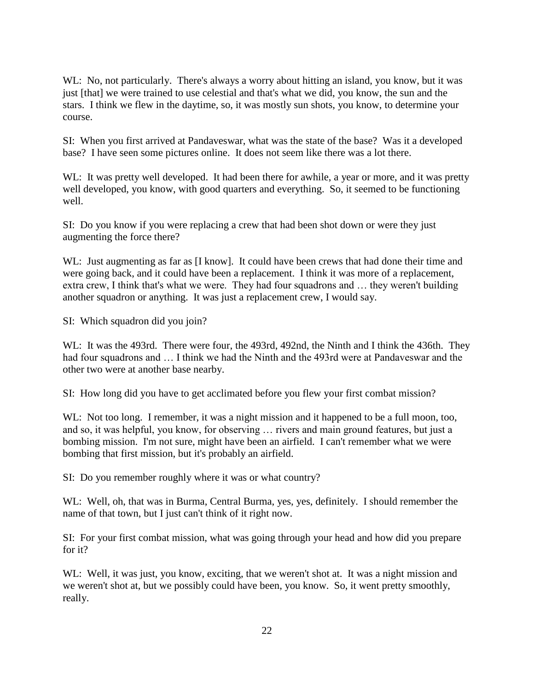WL: No, not particularly. There's always a worry about hitting an island, you know, but it was just [that] we were trained to use celestial and that's what we did, you know, the sun and the stars. I think we flew in the daytime, so, it was mostly sun shots, you know, to determine your course.

SI: When you first arrived at Pandaveswar, what was the state of the base? Was it a developed base? I have seen some pictures online. It does not seem like there was a lot there.

WL: It was pretty well developed. It had been there for awhile, a year or more, and it was pretty well developed, you know, with good quarters and everything. So, it seemed to be functioning well.

SI: Do you know if you were replacing a crew that had been shot down or were they just augmenting the force there?

WL: Just augmenting as far as [I know]. It could have been crews that had done their time and were going back, and it could have been a replacement. I think it was more of a replacement, extra crew, I think that's what we were. They had four squadrons and … they weren't building another squadron or anything. It was just a replacement crew, I would say.

SI: Which squadron did you join?

WL: It was the 493rd. There were four, the 493rd, 492nd, the Ninth and I think the 436th. They had four squadrons and ... I think we had the Ninth and the 493rd were at Pandaveswar and the other two were at another base nearby.

SI: How long did you have to get acclimated before you flew your first combat mission?

WL: Not too long. I remember, it was a night mission and it happened to be a full moon, too, and so, it was helpful, you know, for observing … rivers and main ground features, but just a bombing mission. I'm not sure, might have been an airfield. I can't remember what we were bombing that first mission, but it's probably an airfield.

SI: Do you remember roughly where it was or what country?

WL: Well, oh, that was in Burma, Central Burma, yes, yes, definitely. I should remember the name of that town, but I just can't think of it right now.

SI: For your first combat mission, what was going through your head and how did you prepare for it?

WL: Well, it was just, you know, exciting, that we weren't shot at. It was a night mission and we weren't shot at, but we possibly could have been, you know. So, it went pretty smoothly, really.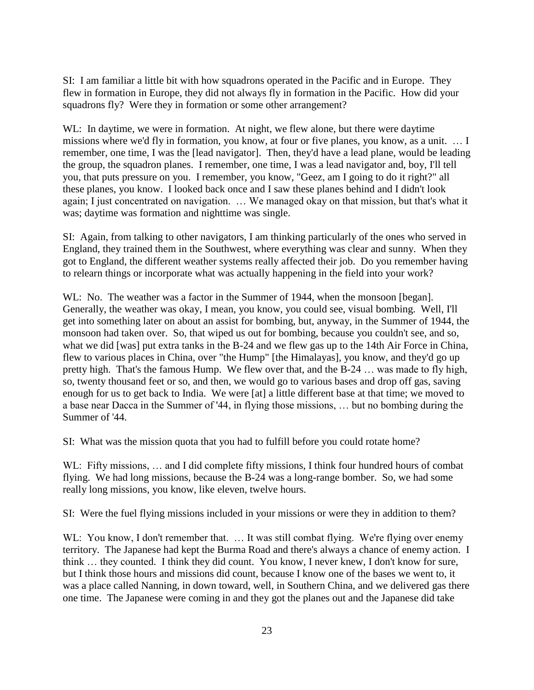SI: I am familiar a little bit with how squadrons operated in the Pacific and in Europe. They flew in formation in Europe, they did not always fly in formation in the Pacific. How did your squadrons fly? Were they in formation or some other arrangement?

WL: In daytime, we were in formation. At night, we flew alone, but there were daytime missions where we'd fly in formation, you know, at four or five planes, you know, as a unit. … I remember, one time, I was the [lead navigator]. Then, they'd have a lead plane, would be leading the group, the squadron planes. I remember, one time, I was a lead navigator and, boy, I'll tell you, that puts pressure on you. I remember, you know, "Geez, am I going to do it right?" all these planes, you know. I looked back once and I saw these planes behind and I didn't look again; I just concentrated on navigation. … We managed okay on that mission, but that's what it was; daytime was formation and nighttime was single.

SI: Again, from talking to other navigators, I am thinking particularly of the ones who served in England, they trained them in the Southwest, where everything was clear and sunny. When they got to England, the different weather systems really affected their job. Do you remember having to relearn things or incorporate what was actually happening in the field into your work?

WL: No. The weather was a factor in the Summer of 1944, when the monsoon [began]. Generally, the weather was okay, I mean, you know, you could see, visual bombing. Well, I'll get into something later on about an assist for bombing, but, anyway, in the Summer of 1944, the monsoon had taken over. So, that wiped us out for bombing, because you couldn't see, and so, what we did [was] put extra tanks in the B-24 and we flew gas up to the 14th Air Force in China, flew to various places in China, over "the Hump" [the Himalayas], you know, and they'd go up pretty high. That's the famous Hump. We flew over that, and the B-24 … was made to fly high, so, twenty thousand feet or so, and then, we would go to various bases and drop off gas, saving enough for us to get back to India. We were [at] a little different base at that time; we moved to a base near Dacca in the Summer of '44, in flying those missions, … but no bombing during the Summer of '44.

SI: What was the mission quota that you had to fulfill before you could rotate home?

WL: Fifty missions, ... and I did complete fifty missions, I think four hundred hours of combat flying. We had long missions, because the B-24 was a long-range bomber. So, we had some really long missions, you know, like eleven, twelve hours.

SI: Were the fuel flying missions included in your missions or were they in addition to them?

WL: You know, I don't remember that. ... It was still combat flying. We're flying over enemy territory. The Japanese had kept the Burma Road and there's always a chance of enemy action. I think … they counted. I think they did count. You know, I never knew, I don't know for sure, but I think those hours and missions did count, because I know one of the bases we went to, it was a place called Nanning, in down toward, well, in Southern China, and we delivered gas there one time. The Japanese were coming in and they got the planes out and the Japanese did take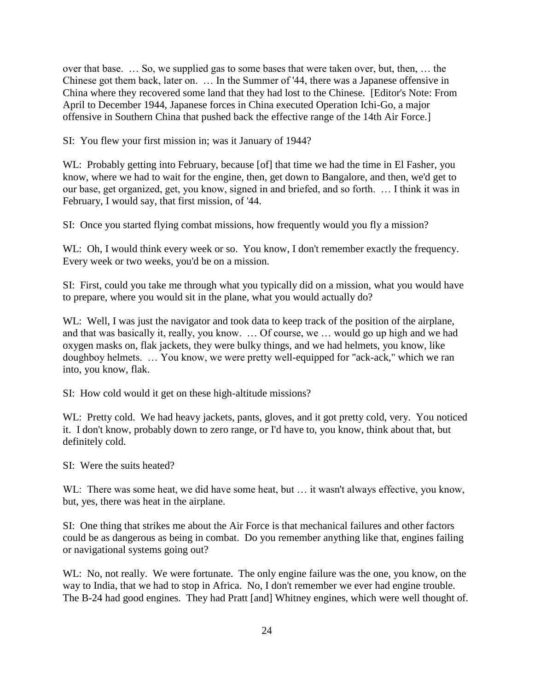over that base. … So, we supplied gas to some bases that were taken over, but, then, … the Chinese got them back, later on. … In the Summer of '44, there was a Japanese offensive in China where they recovered some land that they had lost to the Chinese. [Editor's Note: From April to December 1944, Japanese forces in China executed Operation Ichi-Go, a major offensive in Southern China that pushed back the effective range of the 14th Air Force.]

SI: You flew your first mission in; was it January of 1944?

WL: Probably getting into February, because [of] that time we had the time in El Fasher, you know, where we had to wait for the engine, then, get down to Bangalore, and then, we'd get to our base, get organized, get, you know, signed in and briefed, and so forth. … I think it was in February, I would say, that first mission, of '44.

SI: Once you started flying combat missions, how frequently would you fly a mission?

WL: Oh, I would think every week or so. You know, I don't remember exactly the frequency. Every week or two weeks, you'd be on a mission.

SI: First, could you take me through what you typically did on a mission, what you would have to prepare, where you would sit in the plane, what you would actually do?

WL: Well, I was just the navigator and took data to keep track of the position of the airplane, and that was basically it, really, you know. … Of course, we … would go up high and we had oxygen masks on, flak jackets, they were bulky things, and we had helmets, you know, like doughboy helmets. … You know, we were pretty well-equipped for "ack-ack," which we ran into, you know, flak.

SI: How cold would it get on these high-altitude missions?

WL: Pretty cold. We had heavy jackets, pants, gloves, and it got pretty cold, very. You noticed it. I don't know, probably down to zero range, or I'd have to, you know, think about that, but definitely cold.

SI: Were the suits heated?

WL: There was some heat, we did have some heat, but ... it wasn't always effective, you know, but, yes, there was heat in the airplane.

SI: One thing that strikes me about the Air Force is that mechanical failures and other factors could be as dangerous as being in combat. Do you remember anything like that, engines failing or navigational systems going out?

WL: No, not really. We were fortunate. The only engine failure was the one, you know, on the way to India, that we had to stop in Africa. No, I don't remember we ever had engine trouble. The B-24 had good engines. They had Pratt [and] Whitney engines, which were well thought of.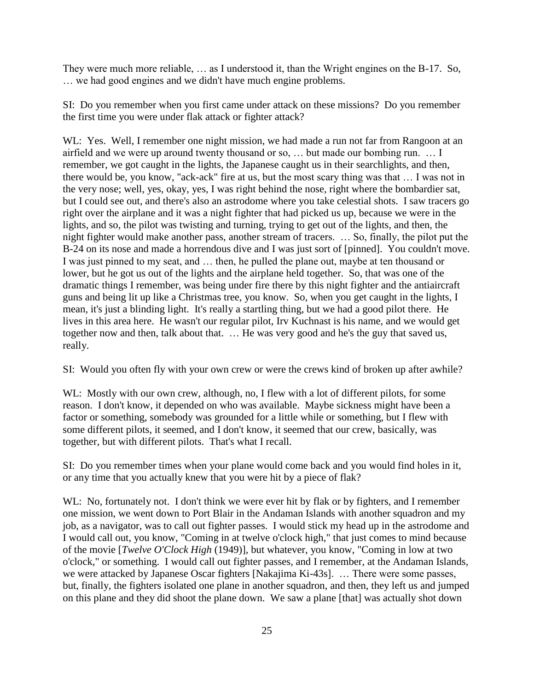They were much more reliable, … as I understood it, than the Wright engines on the B-17. So, … we had good engines and we didn't have much engine problems.

SI: Do you remember when you first came under attack on these missions? Do you remember the first time you were under flak attack or fighter attack?

WL: Yes. Well, I remember one night mission, we had made a run not far from Rangoon at an airfield and we were up around twenty thousand or so, … but made our bombing run. … I remember, we got caught in the lights, the Japanese caught us in their searchlights, and then, there would be, you know, "ack-ack" fire at us, but the most scary thing was that … I was not in the very nose; well, yes, okay, yes, I was right behind the nose, right where the bombardier sat, but I could see out, and there's also an astrodome where you take celestial shots. I saw tracers go right over the airplane and it was a night fighter that had picked us up, because we were in the lights, and so, the pilot was twisting and turning, trying to get out of the lights, and then, the night fighter would make another pass, another stream of tracers. … So, finally, the pilot put the B-24 on its nose and made a horrendous dive and I was just sort of [pinned]. You couldn't move. I was just pinned to my seat, and … then, he pulled the plane out, maybe at ten thousand or lower, but he got us out of the lights and the airplane held together. So, that was one of the dramatic things I remember, was being under fire there by this night fighter and the antiaircraft guns and being lit up like a Christmas tree, you know. So, when you get caught in the lights, I mean, it's just a blinding light. It's really a startling thing, but we had a good pilot there. He lives in this area here. He wasn't our regular pilot, Irv Kuchnast is his name, and we would get together now and then, talk about that. … He was very good and he's the guy that saved us, really.

SI: Would you often fly with your own crew or were the crews kind of broken up after awhile?

WL: Mostly with our own crew, although, no, I flew with a lot of different pilots, for some reason. I don't know, it depended on who was available. Maybe sickness might have been a factor or something, somebody was grounded for a little while or something, but I flew with some different pilots, it seemed, and I don't know, it seemed that our crew, basically, was together, but with different pilots. That's what I recall.

SI: Do you remember times when your plane would come back and you would find holes in it, or any time that you actually knew that you were hit by a piece of flak?

WL: No, fortunately not. I don't think we were ever hit by flak or by fighters, and I remember one mission, we went down to Port Blair in the Andaman Islands with another squadron and my job, as a navigator, was to call out fighter passes. I would stick my head up in the astrodome and I would call out, you know, "Coming in at twelve o'clock high," that just comes to mind because of the movie [*Twelve O'Clock High* (1949)], but whatever, you know, "Coming in low at two o'clock," or something. I would call out fighter passes, and I remember, at the Andaman Islands, we were attacked by Japanese Oscar fighters [Nakajima Ki-43s]. … There were some passes, but, finally, the fighters isolated one plane in another squadron, and then, they left us and jumped on this plane and they did shoot the plane down. We saw a plane [that] was actually shot down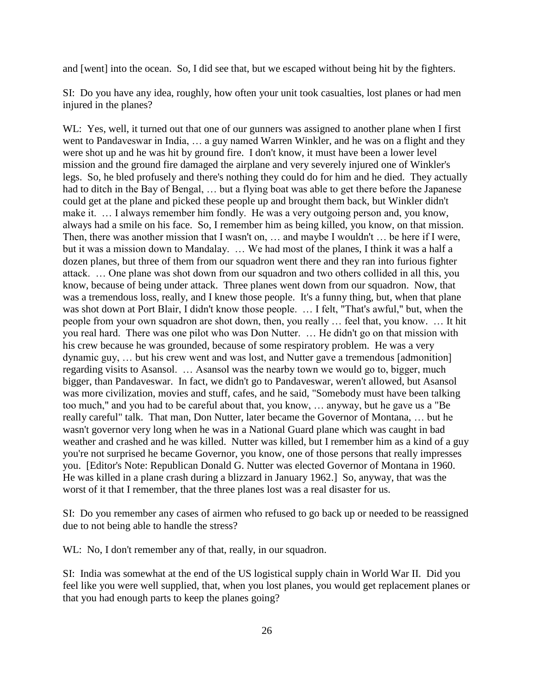and [went] into the ocean. So, I did see that, but we escaped without being hit by the fighters.

SI: Do you have any idea, roughly, how often your unit took casualties, lost planes or had men injured in the planes?

WL: Yes, well, it turned out that one of our gunners was assigned to another plane when I first went to Pandaveswar in India, … a guy named Warren Winkler, and he was on a flight and they were shot up and he was hit by ground fire. I don't know, it must have been a lower level mission and the ground fire damaged the airplane and very severely injured one of Winkler's legs. So, he bled profusely and there's nothing they could do for him and he died. They actually had to ditch in the Bay of Bengal, ... but a flying boat was able to get there before the Japanese could get at the plane and picked these people up and brought them back, but Winkler didn't make it. ... I always remember him fondly. He was a very outgoing person and, you know, always had a smile on his face. So, I remember him as being killed, you know, on that mission. Then, there was another mission that I wasn't on, … and maybe I wouldn't … be here if I were, but it was a mission down to Mandalay. … We had most of the planes, I think it was a half a dozen planes, but three of them from our squadron went there and they ran into furious fighter attack. … One plane was shot down from our squadron and two others collided in all this, you know, because of being under attack. Three planes went down from our squadron. Now, that was a tremendous loss, really, and I knew those people. It's a funny thing, but, when that plane was shot down at Port Blair, I didn't know those people. … I felt, "That's awful," but, when the people from your own squadron are shot down, then, you really … feel that, you know. … It hit you real hard. There was one pilot who was Don Nutter. … He didn't go on that mission with his crew because he was grounded, because of some respiratory problem. He was a very dynamic guy, … but his crew went and was lost, and Nutter gave a tremendous [admonition] regarding visits to Asansol. … Asansol was the nearby town we would go to, bigger, much bigger, than Pandaveswar. In fact, we didn't go to Pandaveswar, weren't allowed, but Asansol was more civilization, movies and stuff, cafes, and he said, "Somebody must have been talking too much," and you had to be careful about that, you know, … anyway, but he gave us a "Be really careful" talk. That man, Don Nutter, later became the Governor of Montana, … but he wasn't governor very long when he was in a National Guard plane which was caught in bad weather and crashed and he was killed. Nutter was killed, but I remember him as a kind of a guy you're not surprised he became Governor, you know, one of those persons that really impresses you. [Editor's Note: Republican Donald G. Nutter was elected Governor of Montana in 1960. He was killed in a plane crash during a blizzard in January 1962.] So, anyway, that was the worst of it that I remember, that the three planes lost was a real disaster for us.

SI: Do you remember any cases of airmen who refused to go back up or needed to be reassigned due to not being able to handle the stress?

WL: No, I don't remember any of that, really, in our squadron.

SI: India was somewhat at the end of the US logistical supply chain in World War II. Did you feel like you were well supplied, that, when you lost planes, you would get replacement planes or that you had enough parts to keep the planes going?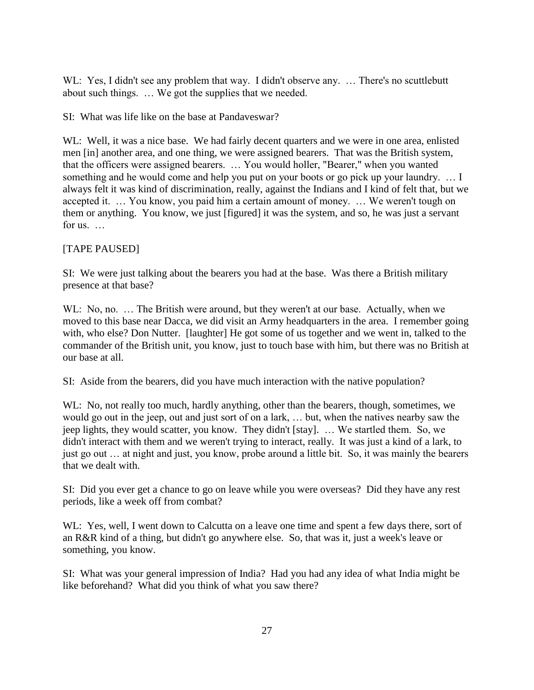WL: Yes, I didn't see any problem that way. I didn't observe any. ... There's no scuttlebutt about such things. … We got the supplies that we needed.

SI: What was life like on the base at Pandaveswar?

WL: Well, it was a nice base. We had fairly decent quarters and we were in one area, enlisted men [in] another area, and one thing, we were assigned bearers. That was the British system, that the officers were assigned bearers. … You would holler, "Bearer," when you wanted something and he would come and help you put on your boots or go pick up your laundry. … I always felt it was kind of discrimination, really, against the Indians and I kind of felt that, but we accepted it. … You know, you paid him a certain amount of money. … We weren't tough on them or anything. You know, we just [figured] it was the system, and so, he was just a servant for us. …

## [TAPE PAUSED]

SI: We were just talking about the bearers you had at the base. Was there a British military presence at that base?

WL: No, no. ... The British were around, but they weren't at our base. Actually, when we moved to this base near Dacca, we did visit an Army headquarters in the area. I remember going with, who else? Don Nutter. [laughter] He got some of us together and we went in, talked to the commander of the British unit, you know, just to touch base with him, but there was no British at our base at all.

SI: Aside from the bearers, did you have much interaction with the native population?

WL: No, not really too much, hardly anything, other than the bearers, though, sometimes, we would go out in the jeep, out and just sort of on a lark, … but, when the natives nearby saw the jeep lights, they would scatter, you know. They didn't [stay]. … We startled them. So, we didn't interact with them and we weren't trying to interact, really. It was just a kind of a lark, to just go out … at night and just, you know, probe around a little bit. So, it was mainly the bearers that we dealt with.

SI: Did you ever get a chance to go on leave while you were overseas? Did they have any rest periods, like a week off from combat?

WL: Yes, well, I went down to Calcutta on a leave one time and spent a few days there, sort of an R&R kind of a thing, but didn't go anywhere else. So, that was it, just a week's leave or something, you know.

SI: What was your general impression of India? Had you had any idea of what India might be like beforehand? What did you think of what you saw there?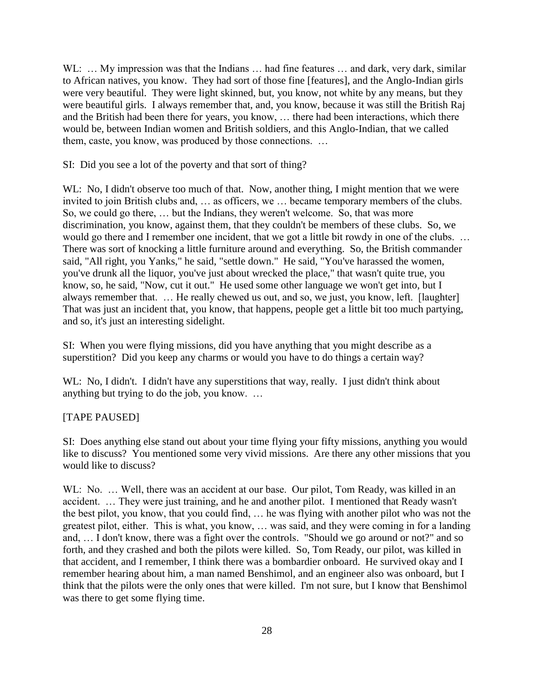WL: ... My impression was that the Indians ... had fine features ... and dark, very dark, similar to African natives, you know. They had sort of those fine [features], and the Anglo-Indian girls were very beautiful. They were light skinned, but, you know, not white by any means, but they were beautiful girls. I always remember that, and, you know, because it was still the British Raj and the British had been there for years, you know, … there had been interactions, which there would be, between Indian women and British soldiers, and this Anglo-Indian, that we called them, caste, you know, was produced by those connections. …

SI: Did you see a lot of the poverty and that sort of thing?

WL: No, I didn't observe too much of that. Now, another thing, I might mention that we were invited to join British clubs and, … as officers, we … became temporary members of the clubs. So, we could go there, … but the Indians, they weren't welcome. So, that was more discrimination, you know, against them, that they couldn't be members of these clubs. So, we would go there and I remember one incident, that we got a little bit rowdy in one of the clubs. … There was sort of knocking a little furniture around and everything. So, the British commander said, "All right, you Yanks," he said, "settle down." He said, "You've harassed the women, you've drunk all the liquor, you've just about wrecked the place," that wasn't quite true, you know, so, he said, "Now, cut it out." He used some other language we won't get into, but I always remember that. … He really chewed us out, and so, we just, you know, left. [laughter] That was just an incident that, you know, that happens, people get a little bit too much partying, and so, it's just an interesting sidelight.

SI: When you were flying missions, did you have anything that you might describe as a superstition? Did you keep any charms or would you have to do things a certain way?

WL: No, I didn't. I didn't have any superstitions that way, really. I just didn't think about anything but trying to do the job, you know. …

### [TAPE PAUSED]

SI: Does anything else stand out about your time flying your fifty missions, anything you would like to discuss? You mentioned some very vivid missions. Are there any other missions that you would like to discuss?

WL: No. ... Well, there was an accident at our base. Our pilot, Tom Ready, was killed in an accident. … They were just training, and he and another pilot. I mentioned that Ready wasn't the best pilot, you know, that you could find, … he was flying with another pilot who was not the greatest pilot, either. This is what, you know, … was said, and they were coming in for a landing and, … I don't know, there was a fight over the controls. "Should we go around or not?" and so forth, and they crashed and both the pilots were killed. So, Tom Ready, our pilot, was killed in that accident, and I remember, I think there was a bombardier onboard. He survived okay and I remember hearing about him, a man named Benshimol, and an engineer also was onboard, but I think that the pilots were the only ones that were killed. I'm not sure, but I know that Benshimol was there to get some flying time.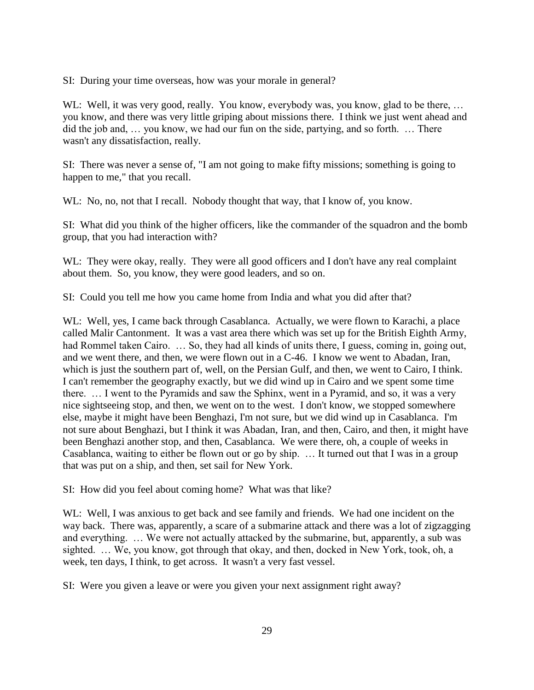SI: During your time overseas, how was your morale in general?

WL: Well, it was very good, really. You know, everybody was, you know, glad to be there, ... you know, and there was very little griping about missions there. I think we just went ahead and did the job and, … you know, we had our fun on the side, partying, and so forth. … There wasn't any dissatisfaction, really.

SI: There was never a sense of, "I am not going to make fifty missions; something is going to happen to me," that you recall.

WL: No, no, not that I recall. Nobody thought that way, that I know of, you know.

SI: What did you think of the higher officers, like the commander of the squadron and the bomb group, that you had interaction with?

WL: They were okay, really. They were all good officers and I don't have any real complaint about them. So, you know, they were good leaders, and so on.

SI: Could you tell me how you came home from India and what you did after that?

WL: Well, yes, I came back through Casablanca. Actually, we were flown to Karachi, a place called Malir Cantonment. It was a vast area there which was set up for the British Eighth Army, had Rommel taken Cairo. ... So, they had all kinds of units there, I guess, coming in, going out, and we went there, and then, we were flown out in a C-46. I know we went to Abadan, Iran, which is just the southern part of, well, on the Persian Gulf, and then, we went to Cairo, I think. I can't remember the geography exactly, but we did wind up in Cairo and we spent some time there. … I went to the Pyramids and saw the Sphinx, went in a Pyramid, and so, it was a very nice sightseeing stop, and then, we went on to the west. I don't know, we stopped somewhere else, maybe it might have been Benghazi, I'm not sure, but we did wind up in Casablanca. I'm not sure about Benghazi, but I think it was Abadan, Iran, and then, Cairo, and then, it might have been Benghazi another stop, and then, Casablanca. We were there, oh, a couple of weeks in Casablanca, waiting to either be flown out or go by ship. … It turned out that I was in a group that was put on a ship, and then, set sail for New York.

SI: How did you feel about coming home? What was that like?

WL: Well, I was anxious to get back and see family and friends. We had one incident on the way back. There was, apparently, a scare of a submarine attack and there was a lot of zigzagging and everything. … We were not actually attacked by the submarine, but, apparently, a sub was sighted. … We, you know, got through that okay, and then, docked in New York, took, oh, a week, ten days, I think, to get across. It wasn't a very fast vessel.

SI: Were you given a leave or were you given your next assignment right away?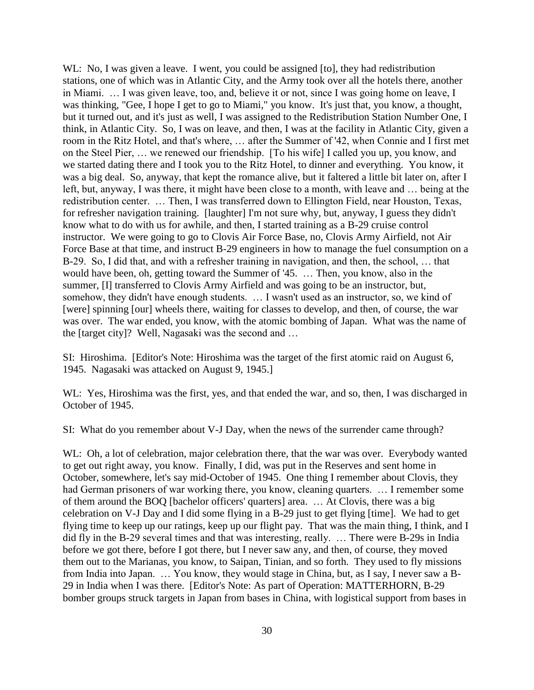WL: No, I was given a leave. I went, you could be assigned [to], they had redistribution stations, one of which was in Atlantic City, and the Army took over all the hotels there, another in Miami. … I was given leave, too, and, believe it or not, since I was going home on leave, I was thinking, "Gee, I hope I get to go to Miami," you know. It's just that, you know, a thought, but it turned out, and it's just as well, I was assigned to the Redistribution Station Number One, I think, in Atlantic City. So, I was on leave, and then, I was at the facility in Atlantic City, given a room in the Ritz Hotel, and that's where, … after the Summer of '42, when Connie and I first met on the Steel Pier, … we renewed our friendship. [To his wife] I called you up, you know, and we started dating there and I took you to the Ritz Hotel, to dinner and everything. You know, it was a big deal. So, anyway, that kept the romance alive, but it faltered a little bit later on, after I left, but, anyway, I was there, it might have been close to a month, with leave and … being at the redistribution center. … Then, I was transferred down to Ellington Field, near Houston, Texas, for refresher navigation training. [laughter] I'm not sure why, but, anyway, I guess they didn't know what to do with us for awhile, and then, I started training as a B-29 cruise control instructor. We were going to go to Clovis Air Force Base, no, Clovis Army Airfield, not Air Force Base at that time, and instruct B-29 engineers in how to manage the fuel consumption on a B-29. So, I did that, and with a refresher training in navigation, and then, the school, … that would have been, oh, getting toward the Summer of '45. … Then, you know, also in the summer, [I] transferred to Clovis Army Airfield and was going to be an instructor, but, somehow, they didn't have enough students. … I wasn't used as an instructor, so, we kind of [were] spinning [our] wheels there, waiting for classes to develop, and then, of course, the war was over. The war ended, you know, with the atomic bombing of Japan. What was the name of the [target city]? Well, Nagasaki was the second and …

SI: Hiroshima. [Editor's Note: Hiroshima was the target of the first atomic raid on August 6, 1945. Nagasaki was attacked on August 9, 1945.]

WL: Yes, Hiroshima was the first, yes, and that ended the war, and so, then, I was discharged in October of 1945.

SI: What do you remember about V-J Day, when the news of the surrender came through?

WL: Oh, a lot of celebration, major celebration there, that the war was over. Everybody wanted to get out right away, you know. Finally, I did, was put in the Reserves and sent home in October, somewhere, let's say mid-October of 1945. One thing I remember about Clovis, they had German prisoners of war working there, you know, cleaning quarters. … I remember some of them around the BOQ [bachelor officers' quarters] area. … At Clovis, there was a big celebration on V-J Day and I did some flying in a B-29 just to get flying [time]. We had to get flying time to keep up our ratings, keep up our flight pay. That was the main thing, I think, and I did fly in the B-29 several times and that was interesting, really. … There were B-29s in India before we got there, before I got there, but I never saw any, and then, of course, they moved them out to the Marianas, you know, to Saipan, Tinian, and so forth. They used to fly missions from India into Japan. … You know, they would stage in China, but, as I say, I never saw a B-29 in India when I was there. [Editor's Note: As part of Operation: MATTERHORN, B-29 bomber groups struck targets in Japan from bases in China, with logistical support from bases in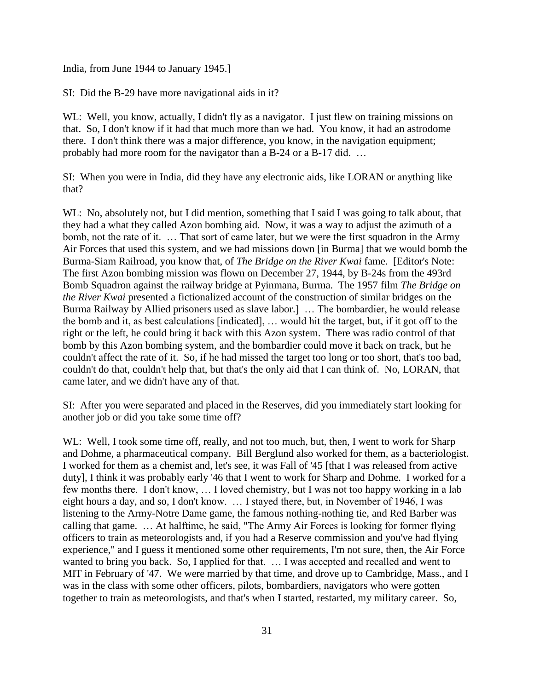India, from June 1944 to January 1945.]

SI: Did the B-29 have more navigational aids in it?

WL: Well, you know, actually, I didn't fly as a navigator. I just flew on training missions on that. So, I don't know if it had that much more than we had. You know, it had an astrodome there. I don't think there was a major difference, you know, in the navigation equipment; probably had more room for the navigator than a B-24 or a B-17 did. …

SI: When you were in India, did they have any electronic aids, like LORAN or anything like that?

WL: No, absolutely not, but I did mention, something that I said I was going to talk about, that they had a what they called Azon bombing aid. Now, it was a way to adjust the azimuth of a bomb, not the rate of it. … That sort of came later, but we were the first squadron in the Army Air Forces that used this system, and we had missions down [in Burma] that we would bomb the Burma-Siam Railroad, you know that, of *The Bridge on the River Kwai* fame. [Editor's Note: The first Azon bombing mission was flown on December 27, 1944, by B-24s from the 493rd Bomb Squadron against the railway bridge at Pyinmana, Burma. The 1957 film *The Bridge on the River Kwai* presented a fictionalized account of the construction of similar bridges on the Burma Railway by Allied prisoners used as slave labor.] … The bombardier, he would release the bomb and it, as best calculations [indicated], … would hit the target, but, if it got off to the right or the left, he could bring it back with this Azon system. There was radio control of that bomb by this Azon bombing system, and the bombardier could move it back on track, but he couldn't affect the rate of it. So, if he had missed the target too long or too short, that's too bad, couldn't do that, couldn't help that, but that's the only aid that I can think of. No, LORAN, that came later, and we didn't have any of that.

SI: After you were separated and placed in the Reserves, did you immediately start looking for another job or did you take some time off?

WL: Well, I took some time off, really, and not too much, but, then, I went to work for Sharp and Dohme, a pharmaceutical company. Bill Berglund also worked for them, as a bacteriologist. I worked for them as a chemist and, let's see, it was Fall of '45 [that I was released from active duty], I think it was probably early '46 that I went to work for Sharp and Dohme. I worked for a few months there. I don't know, … I loved chemistry, but I was not too happy working in a lab eight hours a day, and so, I don't know. … I stayed there, but, in November of 1946, I was listening to the Army-Notre Dame game, the famous nothing-nothing tie, and Red Barber was calling that game. … At halftime, he said, "The Army Air Forces is looking for former flying officers to train as meteorologists and, if you had a Reserve commission and you've had flying experience," and I guess it mentioned some other requirements, I'm not sure, then, the Air Force wanted to bring you back. So, I applied for that. … I was accepted and recalled and went to MIT in February of '47. We were married by that time, and drove up to Cambridge, Mass., and I was in the class with some other officers, pilots, bombardiers, navigators who were gotten together to train as meteorologists, and that's when I started, restarted, my military career. So,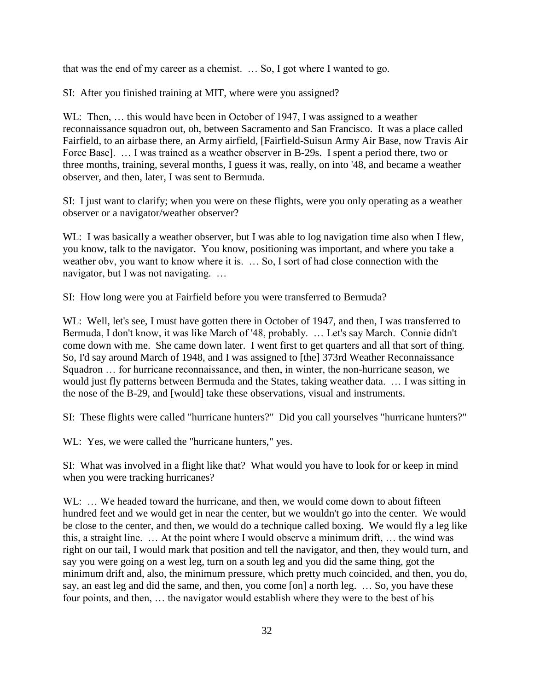that was the end of my career as a chemist. … So, I got where I wanted to go.

SI: After you finished training at MIT, where were you assigned?

WL: Then, ... this would have been in October of 1947, I was assigned to a weather reconnaissance squadron out, oh, between Sacramento and San Francisco. It was a place called Fairfield, to an airbase there, an Army airfield, [Fairfield-Suisun Army Air Base, now Travis Air Force Base]. ... I was trained as a weather observer in B-29s. I spent a period there, two or three months, training, several months, I guess it was, really, on into '48, and became a weather observer, and then, later, I was sent to Bermuda.

SI: I just want to clarify; when you were on these flights, were you only operating as a weather observer or a navigator/weather observer?

WL: I was basically a weather observer, but I was able to log navigation time also when I flew, you know, talk to the navigator. You know, positioning was important, and where you take a weather obv, you want to know where it is. … So, I sort of had close connection with the navigator, but I was not navigating. …

SI: How long were you at Fairfield before you were transferred to Bermuda?

WL: Well, let's see, I must have gotten there in October of 1947, and then, I was transferred to Bermuda, I don't know, it was like March of '48, probably. … Let's say March. Connie didn't come down with me. She came down later. I went first to get quarters and all that sort of thing. So, I'd say around March of 1948, and I was assigned to [the] 373rd Weather Reconnaissance Squadron … for hurricane reconnaissance, and then, in winter, the non-hurricane season, we would just fly patterns between Bermuda and the States, taking weather data. … I was sitting in the nose of the B-29, and [would] take these observations, visual and instruments.

SI: These flights were called "hurricane hunters?" Did you call yourselves "hurricane hunters?"

WL: Yes, we were called the "hurricane hunters," yes.

SI: What was involved in a flight like that? What would you have to look for or keep in mind when you were tracking hurricanes?

WL: ... We headed toward the hurricane, and then, we would come down to about fifteen hundred feet and we would get in near the center, but we wouldn't go into the center. We would be close to the center, and then, we would do a technique called boxing. We would fly a leg like this, a straight line. … At the point where I would observe a minimum drift, … the wind was right on our tail, I would mark that position and tell the navigator, and then, they would turn, and say you were going on a west leg, turn on a south leg and you did the same thing, got the minimum drift and, also, the minimum pressure, which pretty much coincided, and then, you do, say, an east leg and did the same, and then, you come [on] a north leg. … So, you have these four points, and then, … the navigator would establish where they were to the best of his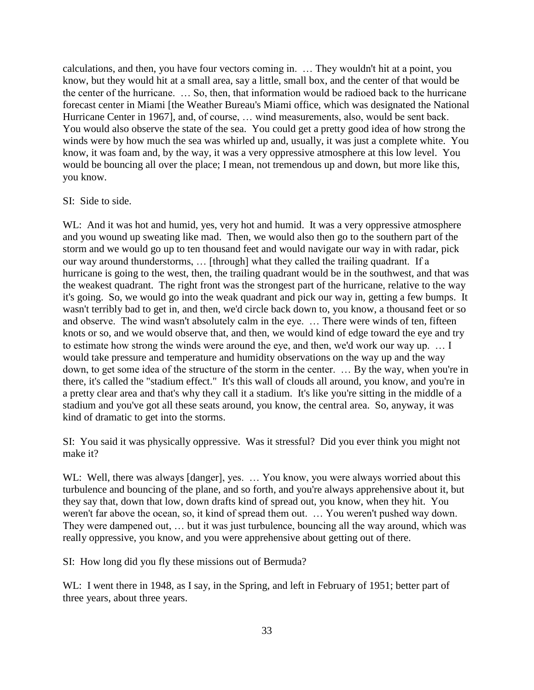calculations, and then, you have four vectors coming in. … They wouldn't hit at a point, you know, but they would hit at a small area, say a little, small box, and the center of that would be the center of the hurricane. … So, then, that information would be radioed back to the hurricane forecast center in Miami [the Weather Bureau's Miami office, which was designated the National Hurricane Center in 1967], and, of course, … wind measurements, also, would be sent back. You would also observe the state of the sea. You could get a pretty good idea of how strong the winds were by how much the sea was whirled up and, usually, it was just a complete white. You know, it was foam and, by the way, it was a very oppressive atmosphere at this low level. You would be bouncing all over the place; I mean, not tremendous up and down, but more like this, you know.

#### SI: Side to side.

WL: And it was hot and humid, yes, very hot and humid. It was a very oppressive atmosphere and you wound up sweating like mad. Then, we would also then go to the southern part of the storm and we would go up to ten thousand feet and would navigate our way in with radar, pick our way around thunderstorms, … [through] what they called the trailing quadrant. If a hurricane is going to the west, then, the trailing quadrant would be in the southwest, and that was the weakest quadrant. The right front was the strongest part of the hurricane, relative to the way it's going. So, we would go into the weak quadrant and pick our way in, getting a few bumps. It wasn't terribly bad to get in, and then, we'd circle back down to, you know, a thousand feet or so and observe. The wind wasn't absolutely calm in the eye. … There were winds of ten, fifteen knots or so, and we would observe that, and then, we would kind of edge toward the eye and try to estimate how strong the winds were around the eye, and then, we'd work our way up. … I would take pressure and temperature and humidity observations on the way up and the way down, to get some idea of the structure of the storm in the center. … By the way, when you're in there, it's called the "stadium effect." It's this wall of clouds all around, you know, and you're in a pretty clear area and that's why they call it a stadium. It's like you're sitting in the middle of a stadium and you've got all these seats around, you know, the central area. So, anyway, it was kind of dramatic to get into the storms.

SI: You said it was physically oppressive. Was it stressful? Did you ever think you might not make it?

WL: Well, there was always [danger], yes. ... You know, you were always worried about this turbulence and bouncing of the plane, and so forth, and you're always apprehensive about it, but they say that, down that low, down drafts kind of spread out, you know, when they hit. You weren't far above the ocean, so, it kind of spread them out. … You weren't pushed way down. They were dampened out, … but it was just turbulence, bouncing all the way around, which was really oppressive, you know, and you were apprehensive about getting out of there.

SI: How long did you fly these missions out of Bermuda?

WL: I went there in 1948, as I say, in the Spring, and left in February of 1951; better part of three years, about three years.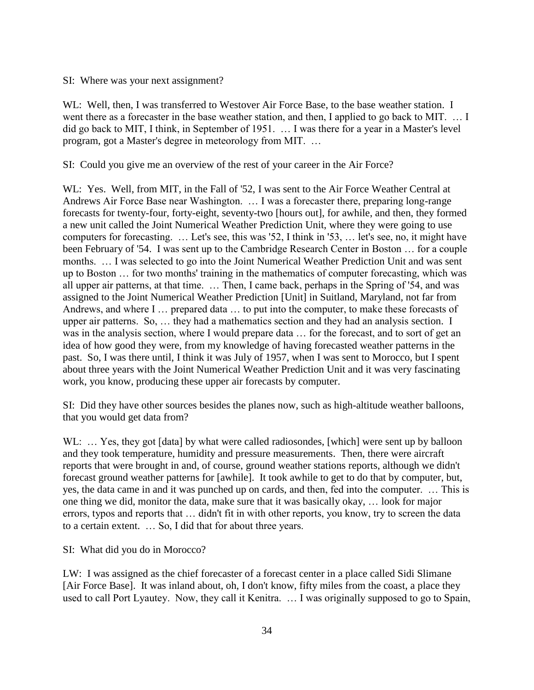#### SI: Where was your next assignment?

WL: Well, then, I was transferred to Westover Air Force Base, to the base weather station. I went there as a forecaster in the base weather station, and then, I applied to go back to MIT. ... I did go back to MIT, I think, in September of 1951. … I was there for a year in a Master's level program, got a Master's degree in meteorology from MIT. …

SI: Could you give me an overview of the rest of your career in the Air Force?

WL: Yes. Well, from MIT, in the Fall of '52, I was sent to the Air Force Weather Central at Andrews Air Force Base near Washington. … I was a forecaster there, preparing long-range forecasts for twenty-four, forty-eight, seventy-two [hours out], for awhile, and then, they formed a new unit called the Joint Numerical Weather Prediction Unit, where they were going to use computers for forecasting. … Let's see, this was '52, I think in '53, … let's see, no, it might have been February of '54. I was sent up to the Cambridge Research Center in Boston … for a couple months. … I was selected to go into the Joint Numerical Weather Prediction Unit and was sent up to Boston … for two months' training in the mathematics of computer forecasting, which was all upper air patterns, at that time. … Then, I came back, perhaps in the Spring of '54, and was assigned to the Joint Numerical Weather Prediction [Unit] in Suitland, Maryland, not far from Andrews, and where I … prepared data … to put into the computer, to make these forecasts of upper air patterns. So, … they had a mathematics section and they had an analysis section. I was in the analysis section, where I would prepare data … for the forecast, and to sort of get an idea of how good they were, from my knowledge of having forecasted weather patterns in the past. So, I was there until, I think it was July of 1957, when I was sent to Morocco, but I spent about three years with the Joint Numerical Weather Prediction Unit and it was very fascinating work, you know, producing these upper air forecasts by computer.

SI: Did they have other sources besides the planes now, such as high-altitude weather balloons, that you would get data from?

WL: ... Yes, they got [data] by what were called radiosondes, [which] were sent up by balloon and they took temperature, humidity and pressure measurements. Then, there were aircraft reports that were brought in and, of course, ground weather stations reports, although we didn't forecast ground weather patterns for [awhile]. It took awhile to get to do that by computer, but, yes, the data came in and it was punched up on cards, and then, fed into the computer. … This is one thing we did, monitor the data, make sure that it was basically okay, … look for major errors, typos and reports that … didn't fit in with other reports, you know, try to screen the data to a certain extent. … So, I did that for about three years.

#### SI: What did you do in Morocco?

LW: I was assigned as the chief forecaster of a forecast center in a place called Sidi Slimane [Air Force Base]. It was inland about, oh, I don't know, fifty miles from the coast, a place they used to call Port Lyautey. Now, they call it Kenitra. … I was originally supposed to go to Spain,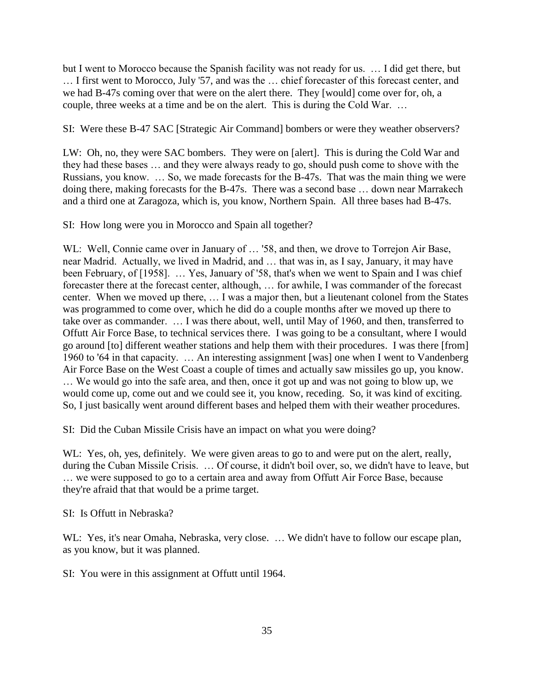but I went to Morocco because the Spanish facility was not ready for us. … I did get there, but … I first went to Morocco, July '57, and was the … chief forecaster of this forecast center, and we had B-47s coming over that were on the alert there. They [would] come over for, oh, a couple, three weeks at a time and be on the alert. This is during the Cold War. …

SI: Were these B-47 SAC [Strategic Air Command] bombers or were they weather observers?

LW: Oh, no, they were SAC bombers. They were on [alert]. This is during the Cold War and they had these bases … and they were always ready to go, should push come to shove with the Russians, you know. … So, we made forecasts for the B-47s. That was the main thing we were doing there, making forecasts for the B-47s. There was a second base … down near Marrakech and a third one at Zaragoza, which is, you know, Northern Spain. All three bases had B-47s.

SI: How long were you in Morocco and Spain all together?

W.L: Well, Connie came over in January of ... '58, and then, we drove to Torrejon Air Base, near Madrid. Actually, we lived in Madrid, and … that was in, as I say, January, it may have been February, of [1958]. ... Yes, January of '58, that's when we went to Spain and I was chief forecaster there at the forecast center, although, … for awhile, I was commander of the forecast center. When we moved up there, … I was a major then, but a lieutenant colonel from the States was programmed to come over, which he did do a couple months after we moved up there to take over as commander. … I was there about, well, until May of 1960, and then, transferred to Offutt Air Force Base, to technical services there. I was going to be a consultant, where I would go around [to] different weather stations and help them with their procedures. I was there [from] 1960 to '64 in that capacity. … An interesting assignment [was] one when I went to Vandenberg Air Force Base on the West Coast a couple of times and actually saw missiles go up, you know. … We would go into the safe area, and then, once it got up and was not going to blow up, we would come up, come out and we could see it, you know, receding. So, it was kind of exciting. So, I just basically went around different bases and helped them with their weather procedures.

SI: Did the Cuban Missile Crisis have an impact on what you were doing?

WL: Yes, oh, yes, definitely. We were given areas to go to and were put on the alert, really, during the Cuban Missile Crisis. … Of course, it didn't boil over, so, we didn't have to leave, but … we were supposed to go to a certain area and away from Offutt Air Force Base, because they're afraid that that would be a prime target.

SI: Is Offutt in Nebraska?

WL: Yes, it's near Omaha, Nebraska, very close. ... We didn't have to follow our escape plan, as you know, but it was planned.

SI: You were in this assignment at Offutt until 1964.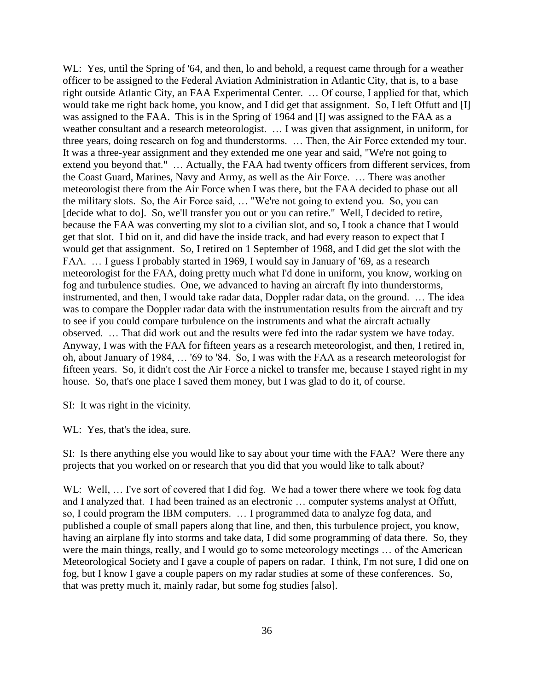WL: Yes, until the Spring of '64, and then, lo and behold, a request came through for a weather officer to be assigned to the Federal Aviation Administration in Atlantic City, that is, to a base right outside Atlantic City, an FAA Experimental Center. … Of course, I applied for that, which would take me right back home, you know, and I did get that assignment. So, I left Offutt and [I] was assigned to the FAA. This is in the Spring of 1964 and [I] was assigned to the FAA as a weather consultant and a research meteorologist. ... I was given that assignment, in uniform, for three years, doing research on fog and thunderstorms. … Then, the Air Force extended my tour. It was a three-year assignment and they extended me one year and said, "We're not going to extend you beyond that." … Actually, the FAA had twenty officers from different services, from the Coast Guard, Marines, Navy and Army, as well as the Air Force. … There was another meteorologist there from the Air Force when I was there, but the FAA decided to phase out all the military slots. So, the Air Force said, … "We're not going to extend you. So, you can [decide what to do]. So, we'll transfer you out or you can retire." Well, I decided to retire, because the FAA was converting my slot to a civilian slot, and so, I took a chance that I would get that slot. I bid on it, and did have the inside track, and had every reason to expect that I would get that assignment. So, I retired on 1 September of 1968, and I did get the slot with the FAA. … I guess I probably started in 1969, I would say in January of '69, as a research meteorologist for the FAA, doing pretty much what I'd done in uniform, you know, working on fog and turbulence studies. One, we advanced to having an aircraft fly into thunderstorms, instrumented, and then, I would take radar data, Doppler radar data, on the ground. … The idea was to compare the Doppler radar data with the instrumentation results from the aircraft and try to see if you could compare turbulence on the instruments and what the aircraft actually observed. … That did work out and the results were fed into the radar system we have today. Anyway, I was with the FAA for fifteen years as a research meteorologist, and then, I retired in, oh, about January of 1984, … '69 to '84. So, I was with the FAA as a research meteorologist for fifteen years. So, it didn't cost the Air Force a nickel to transfer me, because I stayed right in my house. So, that's one place I saved them money, but I was glad to do it, of course.

SI: It was right in the vicinity.

WL: Yes, that's the idea, sure.

SI: Is there anything else you would like to say about your time with the FAA? Were there any projects that you worked on or research that you did that you would like to talk about?

WL: Well, ... I've sort of covered that I did fog. We had a tower there where we took fog data and I analyzed that. I had been trained as an electronic … computer systems analyst at Offutt, so, I could program the IBM computers. … I programmed data to analyze fog data, and published a couple of small papers along that line, and then, this turbulence project, you know, having an airplane fly into storms and take data, I did some programming of data there. So, they were the main things, really, and I would go to some meteorology meetings … of the American Meteorological Society and I gave a couple of papers on radar. I think, I'm not sure, I did one on fog, but I know I gave a couple papers on my radar studies at some of these conferences. So, that was pretty much it, mainly radar, but some fog studies [also].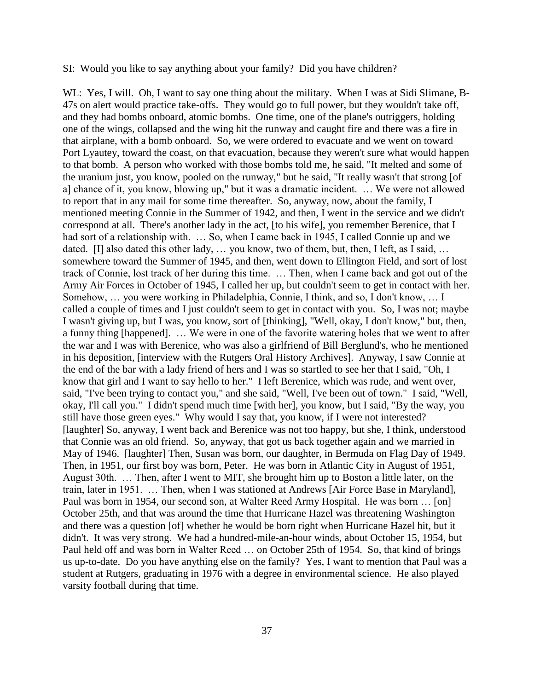#### SI: Would you like to say anything about your family? Did you have children?

WL: Yes, I will. Oh, I want to say one thing about the military. When I was at Sidi Slimane, B-47s on alert would practice take-offs. They would go to full power, but they wouldn't take off, and they had bombs onboard, atomic bombs. One time, one of the plane's outriggers, holding one of the wings, collapsed and the wing hit the runway and caught fire and there was a fire in that airplane, with a bomb onboard. So, we were ordered to evacuate and we went on toward Port Lyautey, toward the coast, on that evacuation, because they weren't sure what would happen to that bomb. A person who worked with those bombs told me, he said, "It melted and some of the uranium just, you know, pooled on the runway," but he said, "It really wasn't that strong [of a] chance of it, you know, blowing up," but it was a dramatic incident. … We were not allowed to report that in any mail for some time thereafter. So, anyway, now, about the family, I mentioned meeting Connie in the Summer of 1942, and then, I went in the service and we didn't correspond at all. There's another lady in the act, [to his wife], you remember Berenice, that I had sort of a relationship with. ... So, when I came back in 1945, I called Connie up and we dated. [I] also dated this other lady, ... you know, two of them, but, then, I left, as I said, ... somewhere toward the Summer of 1945, and then, went down to Ellington Field, and sort of lost track of Connie, lost track of her during this time. … Then, when I came back and got out of the Army Air Forces in October of 1945, I called her up, but couldn't seem to get in contact with her. Somehow, … you were working in Philadelphia, Connie, I think, and so, I don't know, … I called a couple of times and I just couldn't seem to get in contact with you. So, I was not; maybe I wasn't giving up, but I was, you know, sort of [thinking], "Well, okay, I don't know," but, then, a funny thing [happened]. … We were in one of the favorite watering holes that we went to after the war and I was with Berenice, who was also a girlfriend of Bill Berglund's, who he mentioned in his deposition, [interview with the Rutgers Oral History Archives]. Anyway, I saw Connie at the end of the bar with a lady friend of hers and I was so startled to see her that I said, "Oh, I know that girl and I want to say hello to her." I left Berenice, which was rude, and went over, said, "I've been trying to contact you," and she said, "Well, I've been out of town." I said, "Well, okay, I'll call you." I didn't spend much time [with her], you know, but I said, "By the way, you still have those green eyes." Why would I say that, you know, if I were not interested? [laughter] So, anyway, I went back and Berenice was not too happy, but she, I think, understood that Connie was an old friend. So, anyway, that got us back together again and we married in May of 1946. [laughter] Then, Susan was born, our daughter, in Bermuda on Flag Day of 1949. Then, in 1951, our first boy was born, Peter. He was born in Atlantic City in August of 1951, August 30th. … Then, after I went to MIT, she brought him up to Boston a little later, on the train, later in 1951. … Then, when I was stationed at Andrews [Air Force Base in Maryland], Paul was born in 1954, our second son, at Walter Reed Army Hospital. He was born … [on] October 25th, and that was around the time that Hurricane Hazel was threatening Washington and there was a question [of] whether he would be born right when Hurricane Hazel hit, but it didn't. It was very strong. We had a hundred-mile-an-hour winds, about October 15, 1954, but Paul held off and was born in Walter Reed … on October 25th of 1954. So, that kind of brings us up-to-date. Do you have anything else on the family? Yes, I want to mention that Paul was a student at Rutgers, graduating in 1976 with a degree in environmental science. He also played varsity football during that time.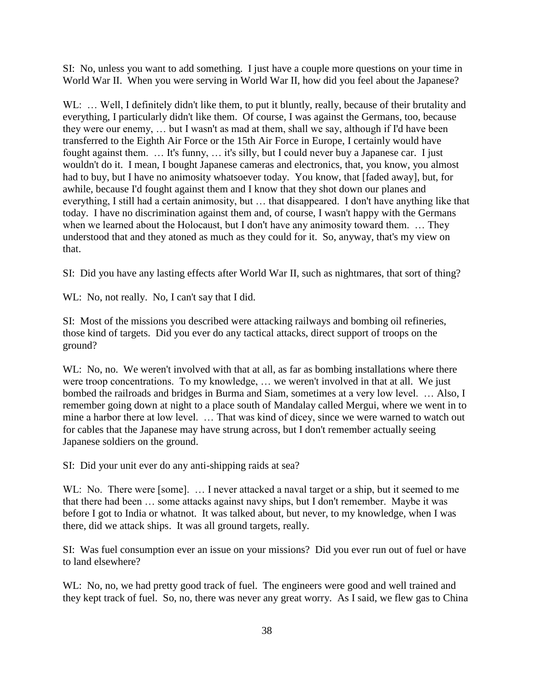SI: No, unless you want to add something. I just have a couple more questions on your time in World War II. When you were serving in World War II, how did you feel about the Japanese?

WL: ... Well, I definitely didn't like them, to put it bluntly, really, because of their brutality and everything, I particularly didn't like them. Of course, I was against the Germans, too, because they were our enemy, … but I wasn't as mad at them, shall we say, although if I'd have been transferred to the Eighth Air Force or the 15th Air Force in Europe, I certainly would have fought against them. … It's funny, … it's silly, but I could never buy a Japanese car. I just wouldn't do it. I mean, I bought Japanese cameras and electronics, that, you know, you almost had to buy, but I have no animosity whatsoever today. You know, that [faded away], but, for awhile, because I'd fought against them and I know that they shot down our planes and everything, I still had a certain animosity, but … that disappeared. I don't have anything like that today. I have no discrimination against them and, of course, I wasn't happy with the Germans when we learned about the Holocaust, but I don't have any animosity toward them. ... They understood that and they atoned as much as they could for it. So, anyway, that's my view on that.

SI: Did you have any lasting effects after World War II, such as nightmares, that sort of thing?

WL: No, not really. No, I can't say that I did.

SI: Most of the missions you described were attacking railways and bombing oil refineries, those kind of targets. Did you ever do any tactical attacks, direct support of troops on the ground?

WL: No, no. We weren't involved with that at all, as far as bombing installations where there were troop concentrations. To my knowledge, … we weren't involved in that at all. We just bombed the railroads and bridges in Burma and Siam, sometimes at a very low level. … Also, I remember going down at night to a place south of Mandalay called Mergui, where we went in to mine a harbor there at low level. … That was kind of dicey, since we were warned to watch out for cables that the Japanese may have strung across, but I don't remember actually seeing Japanese soldiers on the ground.

SI: Did your unit ever do any anti-shipping raids at sea?

WL: No. There were [some]. ... I never attacked a naval target or a ship, but it seemed to me that there had been … some attacks against navy ships, but I don't remember. Maybe it was before I got to India or whatnot. It was talked about, but never, to my knowledge, when I was there, did we attack ships. It was all ground targets, really.

SI: Was fuel consumption ever an issue on your missions? Did you ever run out of fuel or have to land elsewhere?

WL: No, no, we had pretty good track of fuel. The engineers were good and well trained and they kept track of fuel. So, no, there was never any great worry. As I said, we flew gas to China